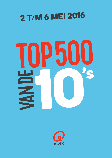## 2 T/M 6 MEI 2016

## **TOP500**

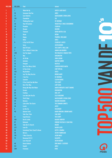| <b>POS 2016</b> | <b>POS 2015</b>         | <b>Titel</b>                        | <b>Artiest</b>                                              |              |
|-----------------|-------------------------|-------------------------------------|-------------------------------------------------------------|--------------|
|                 | 1                       | <b>Wake Me Up</b>                   | <b>AVICII &amp; ALOE BLACC</b>                              |              |
| $\overline{c}$  | 18                      | <b>Someone Like You</b>             | ADELE                                                       |              |
| 3               | 13                      | <b>Can't Hold Us</b>                | <b>MACKLEMORE &amp; RYAN LEWIS</b>                          |              |
|                 | 103                     | <b>Chandelier</b>                   | SIA                                                         |              |
| 5               | 4                       | <b>Thinking Out Loud</b>            | <b>ED SHEERAN</b>                                           |              |
| 6               | 33                      | <b>Year Of Summer</b>               | <b>WILDSTYLEZ &amp; NIELS GEUSEBROEK</b>                    |              |
|                 | 29                      | <b>Paradise</b>                     | COLDPLAY                                                    |              |
| 8               | 26                      | <b>Oceaan</b>                       | <b>RACOON</b>                                               |              |
| 9               | 7                       | <b>Titanium</b>                     | <b>DAVID GUETTA &amp; SIA</b>                               |              |
| 10              | $\overline{\mathbf{c}}$ | Home                                | <b>DOTAN</b>                                                |              |
| 11              | 5                       | <b>Happy</b>                        | <b>PHARRELL WILLIAMS</b>                                    |              |
| 12              |                         | Hello                               | ADELE                                                       |              |
| 13              | 9                       | <b>A Sky Full Of Stars</b>          | <b>COLDPLAY &amp; AVICII</b>                                |              |
| 14              |                         | Sorry                               | <b>JUSTIN BIEBER</b>                                        |              |
| 15              | 31                      | <b>Hall Of Fame</b>                 | THE SCRIPT & WILL.I.AM                                      |              |
| 16              | 3                       | This Is What It Feels Like          | <b>ARMIN VAN BUUREN</b>                                     |              |
| 17              | 320                     | See You Again                       | <b>WIZ KHALIFA &amp; CHARLIE PUTH</b>                       |              |
| 18              | 8                       | War                                 | <b>KENSINGTON</b>                                           |              |
| 19              | 14                      | <b>All Of Me</b>                    | <b>JOHN LEGEND</b>                                          |              |
| 20              | 21                      | <b>Animals</b>                      | <b>MARTIN GARRIX</b>                                        |              |
| 21              | 10                      | Pompeii                             | <b>BASTILLE</b>                                             |              |
| 22              | 15                      | <b>Don't You Worry Child</b>        | <b>SWEDISH HOUSE MAFIA</b>                                  |              |
| 23              | 69                      | <b>In Your Arms</b>                 | <b>CHEF'SPECIAL</b>                                         |              |
| 24              | 129                     | <b>Hey Brother</b>                  | <b>AVICII</b>                                               |              |
| 25              | 16                      | <b>Just The Way You Are</b>         | <b>BRUNO MARS</b>                                           |              |
| 26              | 32                      | I See Fire                          | <b>ED SHEERAN</b>                                           | S            |
| 27              | 72                      | <b>Summer</b>                       | <b>CALVIN HARRIS</b>                                        |              |
| 28              | 20                      | If You Could See Me Now             | THE SCRIPT                                                  |              |
| 29              | 42                      | <b>Born This Way</b>                | <b>LADY GAGA</b>                                            |              |
| 30              | ÷,                      | <b>Breng Me Naar Het Water</b>      | <b>MARCO BORSATO &amp; MATT SIMONS</b><br><b>KENSINGTON</b> |              |
| 31<br>32        | 23<br>84                | <b>Streets</b><br><b>Fireflies</b>  | <b>OWL CITY</b>                                             |              |
| 33              | 35                      | Love Me Like You Do                 | <b>ELLIE GOULDING</b>                                       |              |
| 34              | 148                     | <b>Thrift Shop</b>                  | <b>MACKLEMORE &amp; RYAN LEWIS</b>                          |              |
| 35              | 25                      | <b>Demons</b>                       | <b>IMAGINE DRAGONS</b>                                      |              |
| 36              | 34                      | <b>Calm After The Storm</b>         | THE COMMON LINNETS                                          |              |
| 37              | 46                      | <b>Levels</b>                       | <b>AVICII</b>                                               |              |
| 38              | 6                       | Let Her Go                          | <b>PASSENGER</b>                                            | E            |
| 39              | 40                      | <b>Uptown Funk</b>                  | <b>MARK RONSON &amp; BRUNO MARS</b>                         |              |
| 40              |                         | <b>Take Your Time</b>               | <b>SAM HUNT</b>                                             |              |
| 41              | 12 <sup>°</sup>         | <b>Superheroes</b>                  | THE SCRIPT                                                  |              |
| 42              | 159                     | Dat Ik Je Mis                       | <b>MAAIKE OUBOTER</b>                                       |              |
| 43              | 97                      | <b>Bailando</b>                     | <b>ENRIQUE IGLESIAS &amp; SEAN PAUL</b>                     |              |
| 44              | 50                      | <b>Take Me To Church</b>            | <b>HOZIER</b>                                               |              |
| 45              | 227                     | Lean On                             | <b>MAJOR LAZER</b>                                          |              |
| 46              | 28                      | <b>Somebody That I Used To Know</b> | <b>GOTYE &amp; KIMBRA</b>                                   |              |
| 47              | 36                      | <b>Mirrors</b>                      | <b>JUSTIN TIMBERLAKE</b>                                    |              |
| 48              | 110                     | I Won't Give Up                     | <b>JASON MRAZ</b>                                           |              |
| 49              | 78                      | <b>Runaway (U &amp; I)</b>          | <b>GALANTIS</b>                                             |              |
| 50              | ÷.                      | <b>Love Yourself</b>                | <b>JUSTIN BIEBER</b>                                        |              |
| 51              | 49                      | <b>Danza Kuduro</b>                 | <b>DON OMAR &amp; LUCENZO</b>                               |              |
| 52              | 151                     | <b>Skyfall</b>                      | <b>ADELE</b>                                                |              |
| 53              | 208                     | <b>Firestone</b>                    | <b>KYGO</b>                                                 | <b>MUSIC</b> |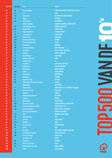| 54<br>65<br>A GREAT BIG WORLD & CHRISTINA AGUILERA<br><b>Say Something</b><br>55<br>67<br><b>PINK</b><br><b>Try</b><br><b>Sterrenstof</b><br>DE JEUGD VAN TEGENWOORDIG<br>56<br>70<br>57<br>41<br><b>Magic</b><br>COLDPLAY<br>58<br>39<br><b>The A Team</b><br><b>ED SHEERAN</b><br><b>Heading Up High</b><br>ARMIN VAN BUUREN & KENSINGTON<br>59<br>÷<br>Love The Way You Lie<br><b>EMINEM &amp; RIHANNA</b><br>60<br>30<br><b>Shake It Off</b><br>61<br>89<br><b>TAYLOR SWIFT</b><br>77<br>Mag Ik Dan Bij Jou<br><b>CLAUDIA DE BREIJ</b><br>62<br>75<br>63<br><b>Counting Stars</b><br><b>ONEREPUBLIC</b><br><b>Another Love</b><br><b>TOM ODELL</b><br>64<br>223<br><b>BEYONCÉ</b><br><b>Run The World (Girls)</b><br>65<br>236<br><b>KEANE</b><br>66<br>68<br><b>Sovereign Light Cafe</b><br><b>Formidable</b><br><b>STROMAE</b><br>67<br>154<br><b>Shut Up And Dance</b><br>186<br><b>WALK THE MOON</b><br>68<br>118<br><b>B.O.B. &amp; HAYLEY WILLIAMS</b><br>69<br><b>Airplanes</b><br>51<br>70<br><b>Tsunami</b><br><b>DVBBS &amp; BORGEOUS</b><br>22<br><b>Stay With Me</b><br><b>SAM SMITH</b><br>71<br>72<br>94<br><b>ADELE</b><br><b>Rolling In The Deep</b><br>U <sub>2</sub><br><b>Ordinary Love</b><br>73<br>59<br>93<br><b>Telephone</b><br><b>LADY GAGA &amp; BEYONCÉ</b><br>74<br>75<br>44<br><b>Radioactive</b><br><b>IMAGINE DRAGONS</b><br><b>Ghost Town</b><br><b>ADAM LAMBERT</b><br>76<br>÷.<br>482<br>Soldier<br><b>GAVIN DEGRAW</b><br>77<br><b>Home Again</b><br><b>KENSINGTON</b><br>78<br>48<br><b>RIHANNA</b><br>82<br><b>Diamonds</b><br>79<br>92<br><b>Sexy Als Ik Dans</b><br><b>NIELSON</b><br>80<br><b>Waka Waka (This Time For Africa)</b><br><b>SHAKIRA</b><br>81<br>131<br>Photograph<br><b>ED SHEERAN</b><br>82<br>÷.<br>11<br><b>Blurred Lines</b><br>83<br>ROBIN THICKE & T.I. & PHARRELL WILLIAMS<br>79<br><b>For The First Time</b><br><b>THE SCRIPT</b><br>84<br>56<br><b>LOREEN</b><br>85<br><b>Euphoria</b><br><b>MR. PROBZ</b><br>86<br>71<br><b>Nothing Really Matters</b><br>76<br><b>PITBULL</b><br>87<br><b>Fireball</b><br>27<br><b>Blank Space</b><br>88<br><b>TAYLOR SWIFT</b><br><b>Samen Voor Altijd</b><br>89<br>268<br><b>MARCO BORSATO &amp; LANGE FRANS</b><br>66<br><b>She Wolf (Falling To Pieces)</b><br><b>DAVID GUETTA &amp; SIA</b><br>90<br><b>SIMPLE PLAN &amp; SEAN PAUL</b><br>100<br><b>Summer Paradise</b><br>91<br><b>COLDPLAY &amp; BEYONCÉ</b><br>92<br><b>Hymn For The Weekend</b><br>¥.<br>RIHANNA & MIKKY EKKO<br>93<br>174<br><b>Stay</b><br>94<br>112<br><b>Gangnam Style</b><br><b>PSY</b><br>47<br>Let It Go<br>95<br><b>DEMI LOVATO</b> |
|----------------------------------------------------------------------------------------------------------------------------------------------------------------------------------------------------------------------------------------------------------------------------------------------------------------------------------------------------------------------------------------------------------------------------------------------------------------------------------------------------------------------------------------------------------------------------------------------------------------------------------------------------------------------------------------------------------------------------------------------------------------------------------------------------------------------------------------------------------------------------------------------------------------------------------------------------------------------------------------------------------------------------------------------------------------------------------------------------------------------------------------------------------------------------------------------------------------------------------------------------------------------------------------------------------------------------------------------------------------------------------------------------------------------------------------------------------------------------------------------------------------------------------------------------------------------------------------------------------------------------------------------------------------------------------------------------------------------------------------------------------------------------------------------------------------------------------------------------------------------------------------------------------------------------------------------------------------------------------------------------------------------------------------------------------------------------------------------------------------------------------------------------------------------------------------------------------------------------------------------------------------------------------------------------------------------------------------------------------------------------------------------------------------------------------------------------------------------------------------------------------------------------------------------------------------------------------------------------------------------------|
|                                                                                                                                                                                                                                                                                                                                                                                                                                                                                                                                                                                                                                                                                                                                                                                                                                                                                                                                                                                                                                                                                                                                                                                                                                                                                                                                                                                                                                                                                                                                                                                                                                                                                                                                                                                                                                                                                                                                                                                                                                                                                                                                                                                                                                                                                                                                                                                                                                                                                                                                                                                                                            |
|                                                                                                                                                                                                                                                                                                                                                                                                                                                                                                                                                                                                                                                                                                                                                                                                                                                                                                                                                                                                                                                                                                                                                                                                                                                                                                                                                                                                                                                                                                                                                                                                                                                                                                                                                                                                                                                                                                                                                                                                                                                                                                                                                                                                                                                                                                                                                                                                                                                                                                                                                                                                                            |
|                                                                                                                                                                                                                                                                                                                                                                                                                                                                                                                                                                                                                                                                                                                                                                                                                                                                                                                                                                                                                                                                                                                                                                                                                                                                                                                                                                                                                                                                                                                                                                                                                                                                                                                                                                                                                                                                                                                                                                                                                                                                                                                                                                                                                                                                                                                                                                                                                                                                                                                                                                                                                            |
|                                                                                                                                                                                                                                                                                                                                                                                                                                                                                                                                                                                                                                                                                                                                                                                                                                                                                                                                                                                                                                                                                                                                                                                                                                                                                                                                                                                                                                                                                                                                                                                                                                                                                                                                                                                                                                                                                                                                                                                                                                                                                                                                                                                                                                                                                                                                                                                                                                                                                                                                                                                                                            |
|                                                                                                                                                                                                                                                                                                                                                                                                                                                                                                                                                                                                                                                                                                                                                                                                                                                                                                                                                                                                                                                                                                                                                                                                                                                                                                                                                                                                                                                                                                                                                                                                                                                                                                                                                                                                                                                                                                                                                                                                                                                                                                                                                                                                                                                                                                                                                                                                                                                                                                                                                                                                                            |
|                                                                                                                                                                                                                                                                                                                                                                                                                                                                                                                                                                                                                                                                                                                                                                                                                                                                                                                                                                                                                                                                                                                                                                                                                                                                                                                                                                                                                                                                                                                                                                                                                                                                                                                                                                                                                                                                                                                                                                                                                                                                                                                                                                                                                                                                                                                                                                                                                                                                                                                                                                                                                            |
|                                                                                                                                                                                                                                                                                                                                                                                                                                                                                                                                                                                                                                                                                                                                                                                                                                                                                                                                                                                                                                                                                                                                                                                                                                                                                                                                                                                                                                                                                                                                                                                                                                                                                                                                                                                                                                                                                                                                                                                                                                                                                                                                                                                                                                                                                                                                                                                                                                                                                                                                                                                                                            |
|                                                                                                                                                                                                                                                                                                                                                                                                                                                                                                                                                                                                                                                                                                                                                                                                                                                                                                                                                                                                                                                                                                                                                                                                                                                                                                                                                                                                                                                                                                                                                                                                                                                                                                                                                                                                                                                                                                                                                                                                                                                                                                                                                                                                                                                                                                                                                                                                                                                                                                                                                                                                                            |
|                                                                                                                                                                                                                                                                                                                                                                                                                                                                                                                                                                                                                                                                                                                                                                                                                                                                                                                                                                                                                                                                                                                                                                                                                                                                                                                                                                                                                                                                                                                                                                                                                                                                                                                                                                                                                                                                                                                                                                                                                                                                                                                                                                                                                                                                                                                                                                                                                                                                                                                                                                                                                            |
|                                                                                                                                                                                                                                                                                                                                                                                                                                                                                                                                                                                                                                                                                                                                                                                                                                                                                                                                                                                                                                                                                                                                                                                                                                                                                                                                                                                                                                                                                                                                                                                                                                                                                                                                                                                                                                                                                                                                                                                                                                                                                                                                                                                                                                                                                                                                                                                                                                                                                                                                                                                                                            |
|                                                                                                                                                                                                                                                                                                                                                                                                                                                                                                                                                                                                                                                                                                                                                                                                                                                                                                                                                                                                                                                                                                                                                                                                                                                                                                                                                                                                                                                                                                                                                                                                                                                                                                                                                                                                                                                                                                                                                                                                                                                                                                                                                                                                                                                                                                                                                                                                                                                                                                                                                                                                                            |
|                                                                                                                                                                                                                                                                                                                                                                                                                                                                                                                                                                                                                                                                                                                                                                                                                                                                                                                                                                                                                                                                                                                                                                                                                                                                                                                                                                                                                                                                                                                                                                                                                                                                                                                                                                                                                                                                                                                                                                                                                                                                                                                                                                                                                                                                                                                                                                                                                                                                                                                                                                                                                            |
|                                                                                                                                                                                                                                                                                                                                                                                                                                                                                                                                                                                                                                                                                                                                                                                                                                                                                                                                                                                                                                                                                                                                                                                                                                                                                                                                                                                                                                                                                                                                                                                                                                                                                                                                                                                                                                                                                                                                                                                                                                                                                                                                                                                                                                                                                                                                                                                                                                                                                                                                                                                                                            |
|                                                                                                                                                                                                                                                                                                                                                                                                                                                                                                                                                                                                                                                                                                                                                                                                                                                                                                                                                                                                                                                                                                                                                                                                                                                                                                                                                                                                                                                                                                                                                                                                                                                                                                                                                                                                                                                                                                                                                                                                                                                                                                                                                                                                                                                                                                                                                                                                                                                                                                                                                                                                                            |
|                                                                                                                                                                                                                                                                                                                                                                                                                                                                                                                                                                                                                                                                                                                                                                                                                                                                                                                                                                                                                                                                                                                                                                                                                                                                                                                                                                                                                                                                                                                                                                                                                                                                                                                                                                                                                                                                                                                                                                                                                                                                                                                                                                                                                                                                                                                                                                                                                                                                                                                                                                                                                            |
|                                                                                                                                                                                                                                                                                                                                                                                                                                                                                                                                                                                                                                                                                                                                                                                                                                                                                                                                                                                                                                                                                                                                                                                                                                                                                                                                                                                                                                                                                                                                                                                                                                                                                                                                                                                                                                                                                                                                                                                                                                                                                                                                                                                                                                                                                                                                                                                                                                                                                                                                                                                                                            |
|                                                                                                                                                                                                                                                                                                                                                                                                                                                                                                                                                                                                                                                                                                                                                                                                                                                                                                                                                                                                                                                                                                                                                                                                                                                                                                                                                                                                                                                                                                                                                                                                                                                                                                                                                                                                                                                                                                                                                                                                                                                                                                                                                                                                                                                                                                                                                                                                                                                                                                                                                                                                                            |
|                                                                                                                                                                                                                                                                                                                                                                                                                                                                                                                                                                                                                                                                                                                                                                                                                                                                                                                                                                                                                                                                                                                                                                                                                                                                                                                                                                                                                                                                                                                                                                                                                                                                                                                                                                                                                                                                                                                                                                                                                                                                                                                                                                                                                                                                                                                                                                                                                                                                                                                                                                                                                            |
|                                                                                                                                                                                                                                                                                                                                                                                                                                                                                                                                                                                                                                                                                                                                                                                                                                                                                                                                                                                                                                                                                                                                                                                                                                                                                                                                                                                                                                                                                                                                                                                                                                                                                                                                                                                                                                                                                                                                                                                                                                                                                                                                                                                                                                                                                                                                                                                                                                                                                                                                                                                                                            |
|                                                                                                                                                                                                                                                                                                                                                                                                                                                                                                                                                                                                                                                                                                                                                                                                                                                                                                                                                                                                                                                                                                                                                                                                                                                                                                                                                                                                                                                                                                                                                                                                                                                                                                                                                                                                                                                                                                                                                                                                                                                                                                                                                                                                                                                                                                                                                                                                                                                                                                                                                                                                                            |
|                                                                                                                                                                                                                                                                                                                                                                                                                                                                                                                                                                                                                                                                                                                                                                                                                                                                                                                                                                                                                                                                                                                                                                                                                                                                                                                                                                                                                                                                                                                                                                                                                                                                                                                                                                                                                                                                                                                                                                                                                                                                                                                                                                                                                                                                                                                                                                                                                                                                                                                                                                                                                            |
|                                                                                                                                                                                                                                                                                                                                                                                                                                                                                                                                                                                                                                                                                                                                                                                                                                                                                                                                                                                                                                                                                                                                                                                                                                                                                                                                                                                                                                                                                                                                                                                                                                                                                                                                                                                                                                                                                                                                                                                                                                                                                                                                                                                                                                                                                                                                                                                                                                                                                                                                                                                                                            |
|                                                                                                                                                                                                                                                                                                                                                                                                                                                                                                                                                                                                                                                                                                                                                                                                                                                                                                                                                                                                                                                                                                                                                                                                                                                                                                                                                                                                                                                                                                                                                                                                                                                                                                                                                                                                                                                                                                                                                                                                                                                                                                                                                                                                                                                                                                                                                                                                                                                                                                                                                                                                                            |
|                                                                                                                                                                                                                                                                                                                                                                                                                                                                                                                                                                                                                                                                                                                                                                                                                                                                                                                                                                                                                                                                                                                                                                                                                                                                                                                                                                                                                                                                                                                                                                                                                                                                                                                                                                                                                                                                                                                                                                                                                                                                                                                                                                                                                                                                                                                                                                                                                                                                                                                                                                                                                            |
|                                                                                                                                                                                                                                                                                                                                                                                                                                                                                                                                                                                                                                                                                                                                                                                                                                                                                                                                                                                                                                                                                                                                                                                                                                                                                                                                                                                                                                                                                                                                                                                                                                                                                                                                                                                                                                                                                                                                                                                                                                                                                                                                                                                                                                                                                                                                                                                                                                                                                                                                                                                                                            |
|                                                                                                                                                                                                                                                                                                                                                                                                                                                                                                                                                                                                                                                                                                                                                                                                                                                                                                                                                                                                                                                                                                                                                                                                                                                                                                                                                                                                                                                                                                                                                                                                                                                                                                                                                                                                                                                                                                                                                                                                                                                                                                                                                                                                                                                                                                                                                                                                                                                                                                                                                                                                                            |
|                                                                                                                                                                                                                                                                                                                                                                                                                                                                                                                                                                                                                                                                                                                                                                                                                                                                                                                                                                                                                                                                                                                                                                                                                                                                                                                                                                                                                                                                                                                                                                                                                                                                                                                                                                                                                                                                                                                                                                                                                                                                                                                                                                                                                                                                                                                                                                                                                                                                                                                                                                                                                            |
|                                                                                                                                                                                                                                                                                                                                                                                                                                                                                                                                                                                                                                                                                                                                                                                                                                                                                                                                                                                                                                                                                                                                                                                                                                                                                                                                                                                                                                                                                                                                                                                                                                                                                                                                                                                                                                                                                                                                                                                                                                                                                                                                                                                                                                                                                                                                                                                                                                                                                                                                                                                                                            |
|                                                                                                                                                                                                                                                                                                                                                                                                                                                                                                                                                                                                                                                                                                                                                                                                                                                                                                                                                                                                                                                                                                                                                                                                                                                                                                                                                                                                                                                                                                                                                                                                                                                                                                                                                                                                                                                                                                                                                                                                                                                                                                                                                                                                                                                                                                                                                                                                                                                                                                                                                                                                                            |
|                                                                                                                                                                                                                                                                                                                                                                                                                                                                                                                                                                                                                                                                                                                                                                                                                                                                                                                                                                                                                                                                                                                                                                                                                                                                                                                                                                                                                                                                                                                                                                                                                                                                                                                                                                                                                                                                                                                                                                                                                                                                                                                                                                                                                                                                                                                                                                                                                                                                                                                                                                                                                            |
|                                                                                                                                                                                                                                                                                                                                                                                                                                                                                                                                                                                                                                                                                                                                                                                                                                                                                                                                                                                                                                                                                                                                                                                                                                                                                                                                                                                                                                                                                                                                                                                                                                                                                                                                                                                                                                                                                                                                                                                                                                                                                                                                                                                                                                                                                                                                                                                                                                                                                                                                                                                                                            |
|                                                                                                                                                                                                                                                                                                                                                                                                                                                                                                                                                                                                                                                                                                                                                                                                                                                                                                                                                                                                                                                                                                                                                                                                                                                                                                                                                                                                                                                                                                                                                                                                                                                                                                                                                                                                                                                                                                                                                                                                                                                                                                                                                                                                                                                                                                                                                                                                                                                                                                                                                                                                                            |
|                                                                                                                                                                                                                                                                                                                                                                                                                                                                                                                                                                                                                                                                                                                                                                                                                                                                                                                                                                                                                                                                                                                                                                                                                                                                                                                                                                                                                                                                                                                                                                                                                                                                                                                                                                                                                                                                                                                                                                                                                                                                                                                                                                                                                                                                                                                                                                                                                                                                                                                                                                                                                            |
|                                                                                                                                                                                                                                                                                                                                                                                                                                                                                                                                                                                                                                                                                                                                                                                                                                                                                                                                                                                                                                                                                                                                                                                                                                                                                                                                                                                                                                                                                                                                                                                                                                                                                                                                                                                                                                                                                                                                                                                                                                                                                                                                                                                                                                                                                                                                                                                                                                                                                                                                                                                                                            |
|                                                                                                                                                                                                                                                                                                                                                                                                                                                                                                                                                                                                                                                                                                                                                                                                                                                                                                                                                                                                                                                                                                                                                                                                                                                                                                                                                                                                                                                                                                                                                                                                                                                                                                                                                                                                                                                                                                                                                                                                                                                                                                                                                                                                                                                                                                                                                                                                                                                                                                                                                                                                                            |
|                                                                                                                                                                                                                                                                                                                                                                                                                                                                                                                                                                                                                                                                                                                                                                                                                                                                                                                                                                                                                                                                                                                                                                                                                                                                                                                                                                                                                                                                                                                                                                                                                                                                                                                                                                                                                                                                                                                                                                                                                                                                                                                                                                                                                                                                                                                                                                                                                                                                                                                                                                                                                            |
|                                                                                                                                                                                                                                                                                                                                                                                                                                                                                                                                                                                                                                                                                                                                                                                                                                                                                                                                                                                                                                                                                                                                                                                                                                                                                                                                                                                                                                                                                                                                                                                                                                                                                                                                                                                                                                                                                                                                                                                                                                                                                                                                                                                                                                                                                                                                                                                                                                                                                                                                                                                                                            |
|                                                                                                                                                                                                                                                                                                                                                                                                                                                                                                                                                                                                                                                                                                                                                                                                                                                                                                                                                                                                                                                                                                                                                                                                                                                                                                                                                                                                                                                                                                                                                                                                                                                                                                                                                                                                                                                                                                                                                                                                                                                                                                                                                                                                                                                                                                                                                                                                                                                                                                                                                                                                                            |
|                                                                                                                                                                                                                                                                                                                                                                                                                                                                                                                                                                                                                                                                                                                                                                                                                                                                                                                                                                                                                                                                                                                                                                                                                                                                                                                                                                                                                                                                                                                                                                                                                                                                                                                                                                                                                                                                                                                                                                                                                                                                                                                                                                                                                                                                                                                                                                                                                                                                                                                                                                                                                            |
|                                                                                                                                                                                                                                                                                                                                                                                                                                                                                                                                                                                                                                                                                                                                                                                                                                                                                                                                                                                                                                                                                                                                                                                                                                                                                                                                                                                                                                                                                                                                                                                                                                                                                                                                                                                                                                                                                                                                                                                                                                                                                                                                                                                                                                                                                                                                                                                                                                                                                                                                                                                                                            |
|                                                                                                                                                                                                                                                                                                                                                                                                                                                                                                                                                                                                                                                                                                                                                                                                                                                                                                                                                                                                                                                                                                                                                                                                                                                                                                                                                                                                                                                                                                                                                                                                                                                                                                                                                                                                                                                                                                                                                                                                                                                                                                                                                                                                                                                                                                                                                                                                                                                                                                                                                                                                                            |
|                                                                                                                                                                                                                                                                                                                                                                                                                                                                                                                                                                                                                                                                                                                                                                                                                                                                                                                                                                                                                                                                                                                                                                                                                                                                                                                                                                                                                                                                                                                                                                                                                                                                                                                                                                                                                                                                                                                                                                                                                                                                                                                                                                                                                                                                                                                                                                                                                                                                                                                                                                                                                            |
|                                                                                                                                                                                                                                                                                                                                                                                                                                                                                                                                                                                                                                                                                                                                                                                                                                                                                                                                                                                                                                                                                                                                                                                                                                                                                                                                                                                                                                                                                                                                                                                                                                                                                                                                                                                                                                                                                                                                                                                                                                                                                                                                                                                                                                                                                                                                                                                                                                                                                                                                                                                                                            |
|                                                                                                                                                                                                                                                                                                                                                                                                                                                                                                                                                                                                                                                                                                                                                                                                                                                                                                                                                                                                                                                                                                                                                                                                                                                                                                                                                                                                                                                                                                                                                                                                                                                                                                                                                                                                                                                                                                                                                                                                                                                                                                                                                                                                                                                                                                                                                                                                                                                                                                                                                                                                                            |
| 96<br>230<br><b>Madness</b><br><b>MUSE</b>                                                                                                                                                                                                                                                                                                                                                                                                                                                                                                                                                                                                                                                                                                                                                                                                                                                                                                                                                                                                                                                                                                                                                                                                                                                                                                                                                                                                                                                                                                                                                                                                                                                                                                                                                                                                                                                                                                                                                                                                                                                                                                                                                                                                                                                                                                                                                                                                                                                                                                                                                                                 |
| 97<br>191<br><b>One Last Time</b><br><b>ARIANA GRANDE</b>                                                                                                                                                                                                                                                                                                                                                                                                                                                                                                                                                                                                                                                                                                                                                                                                                                                                                                                                                                                                                                                                                                                                                                                                                                                                                                                                                                                                                                                                                                                                                                                                                                                                                                                                                                                                                                                                                                                                                                                                                                                                                                                                                                                                                                                                                                                                                                                                                                                                                                                                                                  |
| 99<br><b>Zo Stil</b><br>98<br><b>BLOF</b>                                                                                                                                                                                                                                                                                                                                                                                                                                                                                                                                                                                                                                                                                                                                                                                                                                                                                                                                                                                                                                                                                                                                                                                                                                                                                                                                                                                                                                                                                                                                                                                                                                                                                                                                                                                                                                                                                                                                                                                                                                                                                                                                                                                                                                                                                                                                                                                                                                                                                                                                                                                  |
| 17<br>99<br><b>Get Lucky</b><br><b>DAFT PUNK &amp; PHARRELL WILLIAMS</b>                                                                                                                                                                                                                                                                                                                                                                                                                                                                                                                                                                                                                                                                                                                                                                                                                                                                                                                                                                                                                                                                                                                                                                                                                                                                                                                                                                                                                                                                                                                                                                                                                                                                                                                                                                                                                                                                                                                                                                                                                                                                                                                                                                                                                                                                                                                                                                                                                                                                                                                                                   |
| 100<br>104<br><b>Just Give Me A Reason</b><br><b>PINK &amp; NATE RUESS</b>                                                                                                                                                                                                                                                                                                                                                                                                                                                                                                                                                                                                                                                                                                                                                                                                                                                                                                                                                                                                                                                                                                                                                                                                                                                                                                                                                                                                                                                                                                                                                                                                                                                                                                                                                                                                                                                                                                                                                                                                                                                                                                                                                                                                                                                                                                                                                                                                                                                                                                                                                 |
| 101<br>119<br>Ai Se Eu Te Pego!<br><b>MICHEL TELO</b>                                                                                                                                                                                                                                                                                                                                                                                                                                                                                                                                                                                                                                                                                                                                                                                                                                                                                                                                                                                                                                                                                                                                                                                                                                                                                                                                                                                                                                                                                                                                                                                                                                                                                                                                                                                                                                                                                                                                                                                                                                                                                                                                                                                                                                                                                                                                                                                                                                                                                                                                                                      |
| Let The River In<br><b>DOTAN</b><br>102<br>÷.                                                                                                                                                                                                                                                                                                                                                                                                                                                                                                                                                                                                                                                                                                                                                                                                                                                                                                                                                                                                                                                                                                                                                                                                                                                                                                                                                                                                                                                                                                                                                                                                                                                                                                                                                                                                                                                                                                                                                                                                                                                                                                                                                                                                                                                                                                                                                                                                                                                                                                                                                                              |
| 103<br>86<br>Papaoutai<br><b>STROMAE</b>                                                                                                                                                                                                                                                                                                                                                                                                                                                                                                                                                                                                                                                                                                                                                                                                                                                                                                                                                                                                                                                                                                                                                                                                                                                                                                                                                                                                                                                                                                                                                                                                                                                                                                                                                                                                                                                                                                                                                                                                                                                                                                                                                                                                                                                                                                                                                                                                                                                                                                                                                                                   |
| 43<br><b>ADELE</b><br>104<br><b>Set Fire To The Rain</b>                                                                                                                                                                                                                                                                                                                                                                                                                                                                                                                                                                                                                                                                                                                                                                                                                                                                                                                                                                                                                                                                                                                                                                                                                                                                                                                                                                                                                                                                                                                                                                                                                                                                                                                                                                                                                                                                                                                                                                                                                                                                                                                                                                                                                                                                                                                                                                                                                                                                                                                                                                   |
| 105<br>53<br><b>Whataya Want From Me</b><br><b>ADAM LAMBERT</b>                                                                                                                                                                                                                                                                                                                                                                                                                                                                                                                                                                                                                                                                                                                                                                                                                                                                                                                                                                                                                                                                                                                                                                                                                                                                                                                                                                                                                                                                                                                                                                                                                                                                                                                                                                                                                                                                                                                                                                                                                                                                                                                                                                                                                                                                                                                                                                                                                                                                                                                                                            |
| <b>ALAN WALKER</b><br>Faded<br>106                                                                                                                                                                                                                                                                                                                                                                                                                                                                                                                                                                                                                                                                                                                                                                                                                                                                                                                                                                                                                                                                                                                                                                                                                                                                                                                                                                                                                                                                                                                                                                                                                                                                                                                                                                                                                                                                                                                                                                                                                                                                                                                                                                                                                                                                                                                                                                                                                                                                                                                                                                                         |
|                                                                                                                                                                                                                                                                                                                                                                                                                                                                                                                                                                                                                                                                                                                                                                                                                                                                                                                                                                                                                                                                                                                                                                                                                                                                                                                                                                                                                                                                                                                                                                                                                                                                                                                                                                                                                                                                                                                                                                                                                                                                                                                                                                                                                                                                                                                                                                                                                                                                                                                                                                                                                            |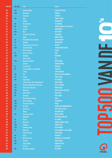| <b>POS 2016</b> | <b>POS 2015</b> | <b>Titel</b>                                 | <b>Artiest</b>                           |                       |
|-----------------|-----------------|----------------------------------------------|------------------------------------------|-----------------------|
| 107             | 144             | <b>Call Me Maybe</b>                         | <b>CARLY RAE JEPSEN</b>                  |                       |
| 108             | 203             | <b>Not Afraid</b>                            | <b>EMINEM</b>                            |                       |
| 109             | ÷.              | <b>Everglow</b>                              | COLDPLAY                                 |                       |
| 110             | 195             | <b>King</b>                                  | <b>YEARS &amp; YEARS</b>                 |                       |
| 111             | ÷               | <b>Riddles</b>                               | <b>KENSINGTON</b>                        |                       |
| 112             | 96              | <b>Give Me Love</b>                          | <b>ED SHEERAN</b>                        |                       |
| 113             | 85              | <b>Problem</b>                               | <b>ARIANA GRANDE &amp; IGGY AZALEA</b>   |                       |
| 114             | 37              | <b>Secrets</b>                               | <b>ONEREPUBLIC</b>                       |                       |
| 115             | 109             | Roar                                         | <b>KATY PERRY</b>                        |                       |
| 116             | 63              | I'm Not The Only One                         | <b>SAM SMITH</b>                         |                       |
| 117             | ÷               | <b>Sugar</b>                                 | <b>ROBIN SCHULZ</b>                      |                       |
| 118             | 19              | <b>What Makes You Beautiful</b>              | <b>ONE DIRECTION</b>                     |                       |
| 119             | 74              | Grenade                                      | <b>BRUNO MARS</b>                        |                       |
| 120             | 61              | Things We Lost In The Fire                   | <b>BASTILLE</b>                          |                       |
| 121             | 263             | <b>Save The World</b>                        | <b>SWEDISH HOUSE MAFIA</b>               |                       |
| 122             | ÷               | <b>Walk On Water</b>                         | <b>CAUSES</b>                            |                       |
| 123             | 83              | <b>Raise Your Glass</b>                      | <b>PINK</b>                              |                       |
| 124             | 346             | <b>Vandaag</b>                               | <b>BAKERMAT</b>                          |                       |
| 125             | ÷.              | <b>Elastic Heart</b>                         | <b>SIA</b>                               |                       |
| 126             | 246             | <b>Keep Your Head Up</b>                     | <b>BEN HOWARD</b>                        |                       |
| 127             | ÷               | <b>Stitches</b>                              | <b>SHAWN MENDES</b>                      |                       |
| 128             | 91              | <b>Ten Feet Tall</b>                         | AFROJACK                                 |                       |
| 129             | 88              | <b>Every Teardrop Is A Waterfall</b>         | COLDPLAY                                 |                       |
| 130             | ÷               | 7 Years                                      | <b>LUKAS GRAHAM</b>                      |                       |
| 131             | 142             | Hoe                                          | <b>NIELSON &amp; MISS MONTREAL</b>       |                       |
| 132             | 115             | <b>Clarity</b>                               | <b>ZEDD &amp; FOXES</b>                  |                       |
| 133             | 136             | <b>Lego House</b>                            | <b>ED SHEERAN</b>                        | $\blacktriangleright$ |
| 134             | ÷.              | I Took A Pill In Ibiza (Seeb Remix)          | <b>MIKE POSNER</b>                       |                       |
| 135             | 334             | <b>Stronger (What Doesn't Kill You)</b>      | <b>KELLY CLARKSON</b>                    |                       |
| 136             | 210             | <b>When I Was Your Man</b>                   | <b>BRUNO MARS</b>                        |                       |
| 137             | 253             | <b>Memories</b>                              | <b>DAVID GUETTA &amp; KID CUDI</b>       |                       |
| 138             | 181             | <b>Just Breathe</b>                          | <b>PEARL JAM</b>                         |                       |
| 139             | 80              | <b>Starships</b>                             | <b>NICKI MINAJ</b>                       | E                     |
| 140             | ¥,              | <b>When We Were Young</b>                    | ADELE                                    |                       |
| 141             | 168             | <b>All For Nothing</b>                       | <b>KENSINGTON</b>                        |                       |
| 142<br>143      | 300<br>380      | <b>Party Rock Anthem</b><br><b>Wit Licht</b> | <b>LMFAO</b><br>JEROEN VAN KONINGSBRUGGE |                       |
| 144             | 58              | <b>Dark Horse</b>                            | <b>KATY PERRY &amp; JUICY J</b>          |                       |
| 145             | ÷.              | <b>History</b>                               | <b>ONE DIRECTION</b>                     |                       |
| 146             | 121             | Cry [Just A Little]                          | <b>BINGO PLAYERS</b>                     |                       |
| 147             | ÷.              | <b>Diamonds</b>                              | THE BOXER REBELLION                      | e                     |
| 148             | 45              | <b>Waves</b>                                 | <b>MR. PROBZ</b>                         |                       |
| 149             | 62              | <b>Break Free</b>                            | <b>ARIANA GRANDE &amp; ZEDD</b>          |                       |
| 150             | 260             | <b>Budapest</b>                              | <b>GEORGE EZRA</b>                       |                       |
| 151             | 220             | Ik Neem Je Mee                               | <b>GERS PARDOEL</b>                      |                       |
| 152             | 24              | <b>Rather Be</b>                             | <b>CLEAN BANDIT &amp; JESS GLYNNE</b>    |                       |
| 153             | ÷.              | <b>Follow The Sun</b>                        | <b>XAVIER RUDD</b>                       |                       |
| 154             | 114             | <b>Sugar</b>                                 | <b>MAROON 5</b>                          |                       |
| 155             | 95              | <b>We Found Love</b>                         | <b>RIHANNA &amp; CALVIN HARRIS</b>       |                       |
| 156             | 166             | <b>Iron Sky</b>                              | <b>PAOLO NUTINI</b>                      |                       |
| 157             | 343             | <b>Salsa Tequila</b>                         | <b>ANDERS NILSEN</b>                     |                       |
| 158             | ÷               | Let It Go                                    | <b>JAMES BAY</b>                         |                       |
| 159             | 106             | No Good In Goodbye                           | THE SCRIPT                               |                       |
|                 |                 |                                              |                                          | <b>MUSIC</b>          |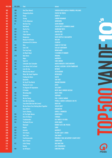| <b>POS 2016</b> | <b>POS 2015</b> | <b>Titel</b>                            | <b>Artiest</b>                                                |   |
|-----------------|-----------------|-----------------------------------------|---------------------------------------------------------------|---|
| 160             | 388             | <b>One (Your Name)</b>                  | SWEDISH HOUSE MAFIA & PHARRELL WILLIAMS                       |   |
| 161             | 102             | <b>Pumped Up Kicks</b>                  | <b>FOSTER THE PEOPLE</b>                                      |   |
| 162             | 298             | <b>Parijs</b>                           | <b>KENNY B</b>                                                |   |
| 163             | 146             | <b>Strong</b>                           | <b>LONDON GRAMMAR</b>                                         |   |
| 164             | 145             | I'm An Albatraoz                        | <b>ARONCHUPA</b>                                              |   |
| 165             | 57              | <b>Not Over You</b>                     | <b>GAVIN DEGRAW</b>                                           |   |
| 166             |                 | <b>Bad Blood</b>                        | <b>TAYLOR SWIFT &amp; KENDRICK LAMAR</b>                      |   |
| 167             | 363             | <b>Sky On Fire</b>                      | <b>HANDSOME POETS</b>                                         |   |
| 168             | 201             | <b>J'me Tire</b>                        | <b>MAITRE GIMS</b>                                            |   |
| 169             | 192             | <b>Video Games</b>                      | <b>LANA DEL REY</b>                                           |   |
| 170             | 135             | <b>Dangerous</b>                        | <b>DAVID GUETTA &amp; SAM MARTIN</b>                          |   |
| 171             | 372             | <b>Beauty &amp; De Brains</b>           | <b>NIELSON</b>                                                |   |
| 172             | ÷.              | <b>Adventure Of A Lifetime</b>          | <b>COLDPLAY</b>                                               |   |
| 173             | 149             | Hero                                    | <b>FAMILY OF THE YEAR</b>                                     |   |
| 174             | 356             | Like A G6                               | <b>FAR EAST MOVEMENT</b>                                      |   |
| 175             | 386             | <b>The Lazy Song</b>                    | <b>BRUNO MARS</b>                                             |   |
| 176             | ä,              | <b>Jet Black Heart</b>                  | <b>5 SECONDS OF SUMMER</b>                                    |   |
| 177             | 229             | <b>Man Down</b>                         | <b>RIHANNA</b>                                                |   |
| 178             | ÷.              | <b>Maps</b>                             | <b>MAROON 5</b>                                               |   |
| 179             | 225             | Yeah 3 X                                | <b>CHRIS BROWN</b>                                            |   |
| 180             | 138             | <b>Schouder Aan Schouder</b>            | <b>MARCO BORSATO &amp; GUUS MEEUWIS</b>                       |   |
| 181             | 261             | Love Never Felt So Good                 | <b>MICHAEL JACKSON &amp; JUSTIN TIMBERLAKE</b>                |   |
| 182             | 345             | Love On Top                             | <b>BEYONCÉ</b>                                                |   |
| 183             |                 | <b>What Do You Mean?</b>                | <b>JUSTIN BIEBER</b>                                          |   |
| 184             | 393             | <b>When We Stand Together</b>           | <b>NICKELBACK</b>                                             |   |
| 185             |                 | <b>Finding Out More</b>                 | <b>HAEVN</b>                                                  |   |
| 186             |                 | <b>Dynamite</b>                         | <b>TAIO CRUZ</b>                                              |   |
| 187             | 190             | On Top Of The World                     | <b>IMAGINE DRAGONS</b>                                        | X |
| 188             |                 | <b>Waiting For Love</b>                 | <b>AVICII</b>                                                 |   |
| 189             | 199             | <b>Six Degrees Of Separation</b>        | <b>THE SCRIPT</b>                                             |   |
| 190<br>191      | ÷<br>150        | <b>El Perdón</b>                        | <b>NICKY JAM &amp; ENRIQUE IGLESIAS</b><br><b>MILEY CYRUS</b> |   |
| 192             | 175             | <b>Wrecking Ball</b><br>Geronimo        | <b>SHEPPARD</b>                                               |   |
| 193             | 125             | <b>We Are Young</b>                     | <b>FUN. &amp; JANELLE MONAE</b>                               |   |
| 194             | 133             | <b>Give Me Everything</b>               | PITBULL & NAYER & AFROJACK & NE-YO                            | E |
| 195             | ÷.              | <b>Treur Niet (Ode Aan Het Leven)</b>   | <b>DIGGY DEX</b>                                              |   |
| 196             | 266             | We Are Never Ever Getting Back Together | <b>TAYLOR SWIFT</b>                                           |   |
| 197             |                 | <b>Done With It</b>                     | <b>KENSINGTON</b>                                             |   |
| 198             | ÷,              | <b>Sun Is Shining</b>                   | <b>AXWELL /\ INGROSSO</b>                                     |   |
| 199             | 194             | <b>All The Right Moves</b>              | <b>ONEREPUBLIC</b>                                            |   |
| 200             | 242             | <b>Alors On Danse</b>                   | <b>STROMAE</b>                                                |   |
| 201             | 275             | <b>Troublemaker</b>                     | <b>OLLY MURS &amp; FLO RIDA</b>                               |   |
| 202             | 132             | <b>The Book Of Love</b>                 | <b>GAVIN JAMES</b>                                            |   |
| 203             | a,              | <b>Niemand</b>                          | <b>RONNIE FLEX &amp; MR. POLSKA</b>                           |   |
| 204             | 279             | <b>Royals</b>                           | <b>LORDE</b>                                                  |   |
| 205             | 301             | <b>Animals</b>                          | <b>MAROON 5</b>                                               |   |
| 206             | 437             | <b>Till It Hurts</b>                    | <b>YELLOW CLAW &amp; AYDEN</b>                                |   |
| 207             | 214             | Like I Can                              | <b>SAM SMITH</b>                                              |   |
| 208             | 127             | <b>Fourfiveseconds</b>                  | RIHANNA & PAUL MCCARTNEY & KANYE WEST                         |   |
| 209             | ÷.              | <b>Burn It Down</b>                     | <b>LINKIN PARK</b>                                            |   |
| 210             | 172             | <b>Little Things</b>                    | <b>ONE DIRECTION</b>                                          |   |
| 211             | ÷.              | <b>Reality</b>                          | <b>LOST FREQUENCIES</b>                                       |   |
| 212             | 198             | <b>Jar Of Hearts</b>                    | <b>CHRISTINA PERRI</b>                                        |   |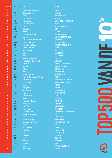| <b>POS 2016</b> | <b>POS 2015</b> | <b>Titel</b>                               | <b>Artiest</b>                             |                |
|-----------------|-----------------|--------------------------------------------|--------------------------------------------|----------------|
| 213             | 307             | <b>Watch Out For This (Bumaye)</b>         | <b>MAJOR LAZER</b>                         |                |
| 214             | 73              | <b>Hold Back The River</b>                 | <b>JAMES BAY</b>                           |                |
| 215             | 321             | <b>Candy</b>                               | <b>ROBBIE WILLIAMS</b>                     |                |
| 216             | 173             | <b>Laura Palmer</b>                        | <b>BASTILLE</b>                            |                |
| 217             | 156             | <b>Love Me Harder</b>                      | <b>ARIANA GRANDE &amp; THE WEEKND</b>      |                |
| 218             | 359             | This Is Who We Are                         | <b>DI-RECT</b>                             |                |
| 219             | 215             | Turbo                                      | <b>NEW KIDS &amp; PAUL ELSTAK</b>          |                |
| 220             | 90              | <b>Skinny Love</b>                         | <b>BIRDY</b>                               |                |
| 221             | 469             | <b>Whistle</b>                             | <b>FLO RIDA</b>                            |                |
| 222             | 353             | Lion In The Morning Sun                    | <b>WILL AND THE PEOPLE</b>                 |                |
| 223             | 271             | <b>Same Love</b>                           | <b>MACKLEMORE &amp; RYAN LEWIS</b>         |                |
| 224             | ¥.              | <b>Catch &amp; Release (Deepend Remix)</b> | <b>MATT SIMONS</b>                         |                |
| 225             | 446             | <b>Closer To The Edge</b>                  | <b>30 SECONDS TO MARS</b>                  |                |
| 226             | 55              | <b>Everything Has Changed</b>              | <b>TAYLOR SWIFT &amp; ED SHEERAN</b>       |                |
| 227             | 247             | <b>Sexy And I Know It</b>                  | <b>LMFAO</b>                               |                |
| 228             | 368             | <b>Best I Ever Had</b>                     | <b>GAVIN DEGRAW</b>                        |                |
| 229             | ¥.              | Mooi                                       | <b>MARCO BORSATO</b>                       |                |
| 230             | 107             | <b>Burn</b>                                | <b>ELLIE GOULDING</b>                      |                |
| 231             | 391             | <b>If You Ever Come Back</b>               | THE SCRIPT                                 |                |
| 232             | 60              | <b>Empire State Of Mind (Part Ii)</b>      | <b>ALICIA KEYS</b>                         |                |
| 233             | 488             | <b>The Spark</b>                           | <b>AFROJACK &amp; SPREE WILSON</b>         |                |
| 234             | 64              | <b>Amnesia</b>                             | <b>5 SECONDS OF SUMMER</b>                 |                |
| 235             | 367             | <b>Balada</b>                              | <b>GUSTTAVO LIMA</b>                       |                |
| 236<br>237      | ÷.<br>254       | <b>Work</b><br><b>All About That Bass</b>  | <b>RIHANNA &amp; DRAKE</b>                 |                |
| 238             | 308             | <b>Teach Me How To Dance With You</b>      | <b>MEGHAN TRAINOR</b><br><b>CAUSES</b>     | S              |
| 239             | 38              | <b>Feel The Love</b>                       | <b>RUDIMENTAL &amp; JOHN NEWMAN</b>        |                |
| 240             | ÷.              | <b>Liever Dan Lief</b>                     | <b>GERS PARDOEL &amp; DOE MAAR</b>         |                |
| 241             | 487             | <b>Atlas</b>                               | <b>COLDPLAY</b>                            |                |
| 242             | 398             | <b>Bumpy Ride</b>                          | <b>MOHOMBI</b>                             |                |
| 243             | 170             | <b>Need You Now</b>                        | <b>LADY ANTEBELLUM</b>                     |                |
| 244             | 494             | <b>Faster</b>                              | <b>WITHIN TEMPTATION</b>                   |                |
| 245             | ÷               | <b>Stole The Show</b>                      | <b>KYGO</b>                                |                |
| 246             | ÷               | <b>Hurricane</b>                           | <b>ILSE DELANGE</b>                        | $\blacksquare$ |
| 247             | 495             | <b>Locked Out Of Heaven</b>                | <b>BRUNO MARS</b>                          |                |
| 248             | 412             | <b>Drunk In Love</b>                       | <b>BEYONCÉ &amp; JAY Z</b>                 |                |
| 249             | 250             | I Will Wait                                | <b>MUMFORD &amp; SONS</b>                  | T.             |
| 250             | 342             | <b>Best Song Ever</b>                      | <b>ONE DIRECTION</b>                       |                |
| 251             | A.              | <b>I Need Your Love</b>                    | <b>CALVIN HARRIS &amp; ELLIE GOULDING</b>  |                |
| 252             | 415             | Later Als Ik Groter Ben                    | <b>BLOF</b>                                |                |
| 253             | ÷.              | <b>Lush Life</b>                           | <b>ZARA LARSSON</b>                        |                |
| 254             | 237             | It's A Beautiful Day                       | <b>MICHAEL BUBLE</b>                       |                |
| 255             | 493             | We No Speak Americano                      | <b>YOLANDA BE COOL &amp; DCUP</b>          |                |
| 256             | 233             | <b>Hungry</b>                              | <b>DOTAN</b>                               |                |
| 257             | 402             | Tous Les Mêmes                             | <b>STROMAE</b>                             |                |
| 258             |                 | <b>Fight Song</b>                          | <b>RACHEL PLATTEN</b>                      |                |
| 259<br>260      | ÷.<br>479       | Leef<br>Alejandro                          | <b>ANDRE HAZES JR.</b><br><b>LADY GAGA</b> |                |
| 261             | 98              | I Love It                                  | <b>ICONA POP</b>                           |                |
| 262             | 120             | <b>With You</b>                            | <b>MATT SIMONS</b>                         |                |
| 263             | 370             | <b>Drive By</b>                            | <b>TRAIN</b>                               |                |
| 264             | ÷.              | <b>Worth It</b>                            | <b>FIFTH HARMONY &amp; KID INK</b>         |                |
| 265             | 158             | <b>Wavin' Flag</b>                         | <b>K'NAAN</b>                              |                |
|                 |                 |                                            |                                            | <b>MUSIC</b>   |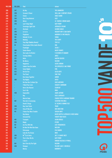| <b>POS 2016</b> | <b>POS 2015</b> | <b>Titel</b>                           | <b>Artiest</b>                                       |                  |
|-----------------|-----------------|----------------------------------------|------------------------------------------------------|------------------|
| 266             | 347             | <b>Ho Hey</b>                          | THE LUMINEERS                                        |                  |
| 267             | 209             | <b>Scream &amp; Shout</b>              | <b>WILL.I.AM &amp; BRITNEY SPEARS</b>                |                  |
| 268             | 332             | <b>Clown</b>                           | <b>EMELI SANDE</b>                                   |                  |
| 269             | 303             | Don't Stop Believin'                   | GLEE                                                 |                  |
| 270             | 289             | <b>Mirror</b>                          | <b>LIL' WAYNE &amp; BRUNO MARS</b>                   | $\boldsymbol{J}$ |
| 271             | 378             | <b>Last Friday Night</b>               | <b>KATY PERRY</b>                                    |                  |
| 272             | ÷,              | <b>Sovereign Light Cafe</b>            | <b>AFROJACK &amp; KEANE</b>                          |                  |
| 273             | 471             | <b>Afscheid</b>                        | <b>GLENNIS GRACE</b>                                 |                  |
| 274             | 295             | La La La                               | <b>NAUGHTY BOY &amp; SAM SMITH</b>                   |                  |
| 275             | 238             | <b>Payphone</b>                        | <b>MAROON 5 &amp; WIZ KHALIFA</b>                    |                  |
| 276             | 165             | <b>Nobody To Love</b>                  | <b>SIGMA</b>                                         |                  |
| 277             | 155             | <b>Nothing</b>                         | THE SCRIPT                                           |                  |
| 278             | 244             | <b>Stay High (Habbits Remix)</b>       | <b>TOVE LO</b>                                       |                  |
| 279             | 54              | <b>Cheerleader (Felix Jaehn Remix)</b> | <b>OMI</b>                                           |                  |
| 280             |                 |                                        | <b>JESSIE J</b>                                      |                  |
|                 | ¥,              | <b>Flashlight</b>                      |                                                      |                  |
| 281             | 286             | <b>Stolen Dance</b>                    | <b>MILKY CHANCE</b>                                  |                  |
| 282             | 147             | <b>She Looks So Perfect</b>            | <b>5 SECONDS OF SUMMER</b>                           |                  |
| 283             | 205             | <b>Turning Tables</b>                  | <b>ADELE</b>                                         |                  |
| 284             | 257             | Hello                                  | <b>MARTIN SOLVEIG</b>                                |                  |
| 285             | 355             | <b>No Mercy</b>                        | <b>RACOON</b>                                        |                  |
| 286             | 211             | <b>Happiness</b>                       | <b>ALEXIS JORDAN</b>                                 |                  |
| 287             | 122             | <b>Sukkel Voor De Liefde</b>           | THE OPPOSITES & MR. PROBZ                            |                  |
| 288             | 475             | <b>Some Nights</b>                     | FUN.                                                 |                  |
| 289             | 322             | <b>Girl On Fire</b>                    | <b>ALICIA KEYS</b>                                   |                  |
| 290             | 207             | <b>The Flood</b>                       | <b>TAKE THAT</b>                                     | S                |
| 291             | ÷.              | <b>Run Away Together</b>               | <b>ANOUK</b>                                         |                  |
| 292             | 360             | <b>The Nights</b>                      | <b>AVICII</b>                                        |                  |
| 293             | ÷               | Het Kan Hier Zo Mooi Zijn              | <b>GUUS MEEUWIS</b>                                  |                  |
| 294             | ä,              | I Need Your Love                       | <b>SHAGGY &amp; MOHOMBI</b>                          |                  |
| 295             |                 | <b>Hurts Like Heaven</b>               | <b>COLDPLAY</b>                                      |                  |
| 296             | ÷               | Sun Is Up                              | <b>INNA</b>                                          |                  |
| 297             | 430             | Impossible                             | <b>JAMES ARTHUR</b>                                  |                  |
| 298             | ÷               | <b>Hey</b>                             | <b>FAIS &amp; AFROJACK</b>                           |                  |
| 299             | ÷.              | <b>Marvin Gaye</b>                     | <b>CHARLIE PUTH &amp; MEGHAN TRAINOR</b>             |                  |
| 300             | 387             | This Ain't A Lovesong                  | <b>SCOUTING FOR GIRLS</b>                            |                  |
| 301             | ÷.              | <b>Drank &amp; Drugs</b>               | LIL' KLEINE & RONNIE FLEX                            |                  |
| 302             | 290             | <b>Hey</b> ; Soul Sister               | <b>TRAIN</b>                                         | E                |
| 303             | 243             | <b>Story Of My Life</b>                | <b>ONE DIRECTION</b>                                 |                  |
| 304             | 141             | I Knew You Were Trouble                | <b>TAYLOR SWIFT</b>                                  |                  |
| 305             | ÷.              | <b>Hey Mama</b>                        | <b>DAVID GUETTA &amp; AFROJACK &amp; NICKI MINAJ</b> |                  |
| 306             | ÷               | <b>Stressed Out</b>                    | <b>TWENTY ONE PILOTS</b>                             |                  |
| 307             | 416             | <b>Trumpets</b>                        | <b>JASON DERULO</b>                                  |                  |
| 308             | 252             | <b>Magic</b>                           | <b>O'G3NE</b>                                        |                  |
| 309             | 161             | <b>Are You With Me</b>                 | <b>LOST FREQUENCIES</b>                              | 2                |
| 310             | 116             | De Man Die Niet Kan Gaan               | <b>NIELSON</b>                                       |                  |
| 311             | ÷.              | <b>Policeman</b>                       | <b>EVA SIMONS</b>                                    |                  |
| 312             | ÷.              | <b>Cake By The Ocean</b>               | <b>DNCE</b>                                          |                  |
| 313             | 338             | Ni**As In Paris                        | <b>JAY Z &amp; KANYE WEST</b>                        |                  |
|                 | 457             | This Is How We Do                      |                                                      |                  |
| 314             |                 |                                        | <b>KATY PERRY</b>                                    |                  |
| 315             | A.              | I Like It                              | <b>ENRIQUE IGLESIAS &amp; PITBULL</b>                |                  |
| 316             | 164             | Don't Give Up The Fight                | <b>RACOON</b>                                        |                  |
| 317             | 206             | <b>Shotgun</b>                         | <b>YELLOW CLAW &amp; ROCHELLE</b>                    |                  |
| 318             | ٠               | <b>Misery</b>                          | <b>MAROON 5</b>                                      |                  |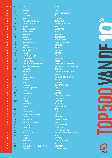| <b>POS 2016</b> | <b>POS 2015</b> | <b>Titel</b>                                         | <b>Artiest</b>                                       |              |
|-----------------|-----------------|------------------------------------------------------|------------------------------------------------------|--------------|
| 319             | ÷               | Pillowtalk                                           | <b>ZAYN</b>                                          |              |
| 320             | 422             | <b>The Days</b>                                      | <b>AVICII &amp; ROBBIE WILLIAMS</b>                  |              |
| 321             | 262             | F**Kin' Perfect                                      | <b>PINK</b>                                          |              |
| 322             | 315             | Don't                                                | <b>ED SHEERAN</b>                                    |              |
| 323             | ÷               | <b>Piece By Piece (Idol Version)</b>                 | <b>KELLY CLARKSON</b>                                |              |
| 324             | 101             | <b>Eat Sleep Rave Repeat</b>                         | <b>FATBOY SLIM &amp; RIVA STARR</b>                  |              |
| 325             | 451             | <b>John Doe</b>                                      | <b>B.O.B.</b>                                        |              |
| 326             | 187             | Kop Die Bal In De Goal                               | <b>MATTIE &amp; WIETZE</b>                           |              |
| 327             | 111             | <b>Nobody's Perfect</b>                              | <b>JESSIE J</b>                                      |              |
| 328             | Ξ               | <b>Ocean Drive</b>                                   | <b>DUKE DUMONT</b>                                   |              |
| 329             | 157             | It's Time                                            | <b>IMAGINE DRAGONS</b>                               |              |
| 330             | ÷,              | <b>She's Kinda Hot</b>                               | <b>5 SECONDS OF SUMMER</b>                           |              |
| 331             | 377             | <b>Beneath Your Beautiful</b>                        | <b>LABRINTH &amp; EMELI SANDE</b>                    |              |
| 332             | 407             | <b>Treasure</b>                                      | <b>BRUNO MARS</b>                                    |              |
| 333             | 341             | Only Girl (In The World)                             | <b>RIHANNA</b>                                       |              |
| 334             | 304             | <b>Bonfire Heart</b>                                 | <b>JAMES BLUNT</b>                                   |              |
| 335             | 153             | <b>Firework</b>                                      | <b>KATY PERRY</b>                                    |              |
| 336             | 278             | <b>Silenced By The Night</b>                         | <b>KEANE</b>                                         |              |
| 337             | 350             | <b>Want To Want Me</b>                               | <b>JASON DERULO</b>                                  |              |
| 338             | 480             | <b>The Wrong Direction</b>                           | <b>PASSENGER</b>                                     |              |
| 339             | Ξ               | I Know What You Did Last Summer                      | <b>SHAWN MENDES &amp; CAMILA CABELLO</b>             |              |
| 340             | 329             | Ik Zou Het Zo Weer Overdoen                          | <b>MARCO BORSATO &amp; TRIJNTJE OOSTERHUIS</b>       |              |
| 341             | 193             | <b>Love Me Again</b>                                 | <b>JOHN NEWMAN</b>                                   |              |
| 342             | ÷               | <b>Where Are Ü Now</b>                               | <b>SKRILLEX &amp; JUSTIN BIEBER &amp; DIPLO</b>      |              |
| 343             | ÷,              | <b>Warrior</b>                                       | <b>DEMI LOVATO</b>                                   |              |
| 344             | 160             | <b>Moves Like Jagger</b>                             | <b>MAROON 5 &amp; CHRISTINA AGUILERA</b>             |              |
| 345             | ÷               | <b>Be The One</b>                                    | <b>DUA LIPA</b>                                      |              |
| 346             | 463             | <b>Drunk</b>                                         | <b>ED SHEERAN</b>                                    |              |
| 347             | ÷,              | <b>Locked Away</b>                                   | R. CITY & ADAM LEVINE                                |              |
| 348             | 228             | 50 Ways To Say Goodbye                               | <b>TRAIN</b>                                         |              |
| 349<br>350      | 409<br>270      | The One                                              | KODALINE<br><b>KATY PERRY</b>                        |              |
| 351             | 219             | <b>Teenage Dream</b><br>Epic                         | <b>SANDRO SILVA &amp; QUINTINO</b>                   |              |
| 352             | ÷,              | <b>Renegades</b>                                     | <b>X AMBASSADORS</b>                                 | E            |
| 353             | 500             | <b>Licht Uit</b>                                     | THE OPPOSITES                                        |              |
| 354             | ÷.              | <b>Take Me Home</b>                                  | <b>JESS GLYNNE</b>                                   |              |
| 355             | ÷               | Freedom                                              | <b>PHARRELL WILLIAMS</b>                             |              |
| 356             | 264             | <b>Domino</b>                                        | <b>JESSIE J</b>                                      |              |
| 357             | 294             | <b>For Bitter Or Worse</b>                           | <b>ANOUK</b>                                         |              |
| 358             | 287             | <b>Fade Into Darkness (Penguin)</b>                  | <b>AVICII</b>                                        |              |
| 359             | 171             | Gorilla                                              | <b>BRUNO MARS</b>                                    |              |
| 360             | 385             | <b>Princess Of China</b>                             | <b>COLDPLAY &amp; RIHANNA</b>                        |              |
| 361             | 476             | Hold On; We're Going Home                            | <b>DRAKE</b>                                         |              |
| 362             | 330             | <b>Kings And Queens</b>                              | <b>30 SECONDS TO MARS</b>                            |              |
| 363             | ¥.              | <b>El Mismo Sol</b>                                  | <b>ALVARO SOLER</b>                                  |              |
| 364             | 130             | <b>Zing Voor Me</b>                                  | <b>LANGE FRANS &amp; THE LAU</b>                     |              |
| 365             | 197             | <b>Where Them Girls At</b>                           | <b>DAVID GUETTA &amp; NICKI MINAJ &amp; FLO RIDA</b> |              |
| 366             | 226             | <b>Thank You</b>                                     | <b>MKTO</b>                                          |              |
| 367             |                 | <b>Shackled Up</b>                                   | <b>ALEX VARGAS</b>                                   |              |
| 368             | ٠               | <b>Never Forget You</b>                              | <b>ZARA LARSSON &amp; MNEK</b>                       |              |
| 369             | ÷               | <b>Lullaby</b>                                       | NICKELBACK                                           |              |
| 370             | 395             | <b>Wonderful Days (Live Bij Mattie &amp; Wietze)</b> | <b>MISS MONTREAL</b>                                 |              |
| 371             | 224             | <b>Don't Stop</b>                                    | <b>5 SECONDS OF SUMMER</b>                           | <b>MUSIC</b> |

 $\blacksquare$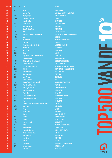| <b>POS 2016</b> | <b>POS 2015</b> | <b>Titel</b>                                                 | <b>Artiest</b>                                       |                              |
|-----------------|-----------------|--------------------------------------------------------------|------------------------------------------------------|------------------------------|
| 372             | Ξ               | It Girl                                                      | <b>JASON DERULO</b>                                  |                              |
| 373             |                 | <b>Another You</b>                                           | <b>ARMIN VAN BUUREN &amp; MR. PROBZ</b>              |                              |
| 374             | 376             | <b>Bagagedrager</b>                                          | <b>GERS PARDOEL &amp; SEF</b>                        |                              |
| 375             | 390             | <b>Fight For This Love</b>                                   | <b>CHERYL</b>                                        |                              |
| 376             | ÷               | <b>Love Runs Out</b>                                         | <b>ONEREPUBLIC</b>                                   |                              |
| 377             | 152             | <b>The Monster</b>                                           | <b>EMINEM &amp; RIHANNA</b>                          |                              |
| 378             | 351             | <b>One More Night</b>                                        | <b>MAROON 5</b>                                      |                              |
| 379             | ÷.              | <b>Can't Feel My Face</b>                                    | <b>THE WEEKND</b>                                    |                              |
| 380             | 311             | Plage                                                        | <b>CRYSTAL FIGHTERS</b>                              |                              |
| 381             | 365             | Prayer In C (Robin Schulz Remix)                             | <b>LILLY WOOD &amp; THE PRICK &amp; ROBIN SCHULZ</b> |                              |
| 382             | 438             | Ink                                                          | <b>COLDPLAY</b>                                      |                              |
| 383             | 305             | <b>On The Floor</b>                                          | <b>JENNIFER LOPEZ &amp; PITBULL</b>                  |                              |
| 384             | 176             | <b>Cool Kids</b>                                             | <b>ECHOSMITH</b>                                     |                              |
| 385             | ÷.              | Terwijl Jullie Nog Bij Me Zijn                               | <b>ALI B &amp; RUBEN ANNINK</b>                      |                              |
| 386             | 239             | <b>Wild Ones</b>                                             | <b>FLO RIDA &amp; SIA</b>                            |                              |
| 387             | 202             | <b>Next To Me</b>                                            | <b>EMELI SANDE</b>                                   |                              |
| 388             | 235             | <b>Rude</b>                                                  | <b>MAGIC!</b>                                        |                              |
| 389             | 374             | Try Sleeping With A Broken Heart                             | <b>ALICIA KEYS</b>                                   |                              |
| 390             | 123             | <b>Little Lion Man</b>                                       | <b>MUMFORD &amp; SONS</b>                            |                              |
| 391             | 447             | <b>Cut Your Teeth (Kygo Remix)</b>                           | <b>KYGO &amp; KYLA LA GRANGE</b>                     |                              |
| 392             | 331             | <b>I Really Like You</b>                                     | <b>CARLY RAE JEPSEN</b>                              |                              |
| 393             |                 | Like I'm Gonna Lose You                                      | <b>MEGHAN TRAINOR &amp; JOHN LEGEND</b>              |                              |
| 394             | 222             | <b>Outside</b>                                               | <b>CALVIN HARRIS &amp; ELLIE GOULDING</b>            |                              |
| 395             | 248             | <b>Mannenharten</b>                                          | <b>BLOF &amp; NIELSON</b>                            |                              |
| 396             | 232             | <b>Unconditionally</b>                                       | <b>KATY PERRY</b>                                    |                              |
| 397             | 217             | <b>Am I Wrong</b>                                            | <b>NICO &amp; VINZ</b>                               |                              |
| 398             | ÷.              | <b>Today's The Day</b>                                       | <b>PINK</b>                                          |                              |
| 399             | 182             | <b>Waves (Robin Schulz Remix)</b>                            | <b>MR. PROBZ &amp; ROBIN SCHULZ</b>                  |                              |
| 400             | 296             | <b>Best Thing I Never Had</b>                                | <b>BEYONCÉ</b>                                       |                              |
| 401             | 221             | <b>Best Day Of My Life</b>                                   | <b>AMERICAN AUTHORS</b>                              |                              |
| 402             | 383             | <b>Slapeloze Nachten</b>                                     | <b>THE OPPOSITES</b>                                 |                              |
| 403             | ä,              | <b>Black Magic</b>                                           | <b>LITTLE MIX</b>                                    |                              |
| 404             | 408             | <b>Club Can't Handle Me</b>                                  | <b>FLO RIDA &amp; DAVID GUETTA</b>                   |                              |
| 405             | 52              | Read All About It; Pt. lii                                   | <b>EMELI SANDE</b>                                   |                              |
| 406             | 180             | <b>Sing</b>                                                  | <b>ED SHEERAN</b>                                    |                              |
| 407<br>408      | ÷,<br>256       | Show Me Love (Edx's Indian Summer Remix)<br><b>Marry You</b> | <b>SAM FELDT</b><br><b>BRUNO MARS</b>                |                              |
| 409             | 452             | <b>Birds</b>                                                 | <b>ANOUK</b>                                         |                              |
| 410             | ÷,              | <b>Young Again</b>                                           | <b>HARDWELL</b>                                      |                              |
| 411             | ÷               | <b>Heroes</b>                                                | <b>MÅNS ZELMERLÖW</b>                                |                              |
| 412             | 81              | <b>The Cave</b>                                              | <b>MUMFORD &amp; SONS</b>                            |                              |
| 413             | 105             | <b>Timber</b>                                                | <b>PITBULL &amp; KESHA</b>                           | $\qquad \qquad \blacksquare$ |
| 414             | 456             | <b>Perfectly Lonely</b>                                      | <b>JOHN MAYER</b>                                    |                              |
| 415             | 178             | <b>Baby</b>                                                  | <b>JUSTIN BIEBER &amp; LUDACRIS</b>                  |                              |
| 416             | ÷.              | <b>One Call Away</b>                                         | <b>CHARLIE PUTH</b>                                  |                              |
| 417             | 167             | I Could Be The One                                           | <b>AVICII &amp; NICKY ROMERO</b>                     |                              |
| 418             | ÷               | <b>Writing's On The Wall</b>                                 | <b>SAM SMITH</b>                                     |                              |
| 419             | ٠               | <b>Drag Me Down</b>                                          | <b>ONE DIRECTION</b>                                 |                              |
| 420             | ä,              | Part Of Me                                                   | <b>KATY PERRY</b>                                    |                              |
| 421             | ÷               | <b>Tacata</b>                                                | <b>TACABRO</b>                                       |                              |
| 422             | 143             | <b>Billionaire</b>                                           | <b>TRAVIE MCCOY &amp; BRUNO MARS</b>                 |                              |
| 423             | 379             | <b>Tonight Tonight</b>                                       | <b>HOT CHELLE RAE</b>                                |                              |
| 424             | ÷,              | <b>Fast Car</b>                                              | <b>JONAS BLUE</b>                                    | <b>MUSIC</b>                 |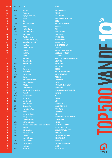| 425<br>464<br><b>New Age</b><br><b>MARLON ROUDETTE</b><br>426<br><b>The Sound</b><br><b>THE 1975</b><br>÷.<br><b>Cups (When I'm Gone)</b><br><b>ANNA KENDRICK</b><br>427<br>357<br>428<br>249<br><b>JASON DERULO &amp; SNOOP DOGG</b><br>Wiggle<br>429<br><b>Run</b><br><b>RONDé</b><br>÷<br><b>Who's That Chick?</b><br><b>DAVID GUETTA &amp; RIHANNA</b><br>430<br>458<br>431<br><b>VANVELZEN</b><br><b>Phoenix</b><br>÷<br><b>I Follow Rivers</b><br><b>LYKKE LI</b><br>432<br>277<br>433<br><b>JAMES MORRISON</b><br>364<br><b>Slave To The Music</b><br>434<br>258<br><b>Wait For Me</b><br><b>KINGS OF LEON</b><br><b>Work From Home</b><br><b>FIFTH HARMONY</b><br>435<br>ä,<br><b>Take Your Time Girl (Live)</b><br>436<br>196<br><b>NIELS GEUSEBROEK</b><br><b>Heroes (We Could Be)</b><br>437<br>396<br><b>ALESSO &amp; TOVE LO</b><br><b>Little Talks</b><br>OF MONSTERS AND MEN<br>438<br>140<br>The Edge Of Glory<br>439<br>189<br><b>LADY GAGA</b><br>440<br>113<br>Lighters<br><b>BAD MEETS EVIL &amp; BRUNO MARS</b><br><b>MAJOR LAZER &amp; FUSE ODG</b><br>441<br><b>Light It Up</b><br>÷,<br>442<br>162<br><b>Maybe</b><br><b>SICK PUPPIES</b><br>443<br>137<br><b>Bang Bang</b><br>JESSIE J & NICKI MINAJ & ARIANA GRANDE<br>444<br><b>Cooler Than Me</b><br><b>MIKE POSNER</b><br>÷,<br>445<br>492<br><b>Welcome Home</b><br><b>RADICAL FACE</b><br>446<br><b>WILLY WILLIAM</b><br><b>Ego</b><br>÷<br>447<br>COLDPLAY<br>128<br><b>Charlie Brown</b><br>448<br>327<br><b>WILL.I.AM &amp; JUSTIN BIEBER</b><br>#Thatpower<br><b>DIDDY &amp; SKYLAR GREY</b><br>449<br>423<br><b>Coming Home</b><br>276<br>450<br>Riptide<br><b>VANCE JOY</b><br>451<br><b>How Deep Is Your Love</b><br><b>CALVIN HARRIS</b><br>٠<br>452<br><b>Shoes Of Lightning</b><br><b>RACOON</b><br>433<br>Got 2 Luv U<br>453<br>163<br><b>SEAN PAUL &amp; ALEXIS JORDAN</b><br>454<br>265<br><b>I Follow Rivers</b><br><b>TRIGGERFINGER</b><br>Ain't Nobody (Loves Me Better)<br><b>FELIX JAEHN &amp; JASMINE THOMPSON</b><br>455<br>÷<br>456<br><b>Daylight</b><br><b>MAROON 5</b><br>459<br>Let Me Love You<br>457<br>455<br>NE-YO<br>E<br>KODALINE<br>458<br>188<br><b>All I Want</b><br>459<br>231<br><b>Addicted To You</b><br><b>AVICII</b><br><b>SELENA GOMEZ</b><br>460<br><b>Hands To Myself</b><br>÷<br>461<br>352<br>Nothin' On You<br><b>B.O.B. &amp; BRUNO MARS</b><br>462<br>373<br><b>Lovers On The Sun</b><br><b>DAVID GUETTA</b><br>255<br><b>Ghosts</b><br><b>KENSINGTON</b><br>463<br>464<br><b>Looking Too Closely</b><br><b>FINK</b><br>٠<br>$\blacksquare$<br><b>Broodje Bakpao</b><br>465<br>312<br>THE OPPOSITES & SEF & GERS PARDOEL<br>466<br><b>Keep Your Head Up</b><br><b>ANDY GRAMMER</b><br>÷,<br><b>RIHANNA</b><br><b>California King Bed</b><br>467<br>299<br><b>One Day / Reckoning Song (Wankelmut Remix)</b><br>468<br><b>ASAF AVIDAN &amp; THE MOJO'S</b><br>496<br>469<br>316<br>TAIO CRUZ & FLO RIDA<br><b>Hangover</b><br>470<br><b>Half Of My Heart</b><br><b>JOHN MAYER &amp; TAYLOR SWIFT</b><br>183<br>471<br>481<br><b>Barbra Streisand</b><br><b>DUCK SAUCE</b><br>472<br>293<br><b>CHRISTINE AND THE QUEENS</b><br><b>Christine</b><br>473<br><b>Duele El Corazon</b><br><b>ENRIQUE IGLESIAS</b><br>÷,<br>474<br><b>Glad You Came</b><br><b>THE WANTED</b><br>324<br>475<br>200<br><b>California Gurls</b><br><b>KATY PERRY &amp; SNOOP DOGG</b><br>476<br><b>ANOUK</b><br><b>Dominique</b><br>÷<br>477<br>Intoxicated<br><b>MARTIN SOLVEIG</b><br>465<br><b>MUSIC</b> | <b>POS 2016</b> | <b>POS 2015</b> | <b>Titel</b> | <b>Artiest</b> |  |
|-----------------------------------------------------------------------------------------------------------------------------------------------------------------------------------------------------------------------------------------------------------------------------------------------------------------------------------------------------------------------------------------------------------------------------------------------------------------------------------------------------------------------------------------------------------------------------------------------------------------------------------------------------------------------------------------------------------------------------------------------------------------------------------------------------------------------------------------------------------------------------------------------------------------------------------------------------------------------------------------------------------------------------------------------------------------------------------------------------------------------------------------------------------------------------------------------------------------------------------------------------------------------------------------------------------------------------------------------------------------------------------------------------------------------------------------------------------------------------------------------------------------------------------------------------------------------------------------------------------------------------------------------------------------------------------------------------------------------------------------------------------------------------------------------------------------------------------------------------------------------------------------------------------------------------------------------------------------------------------------------------------------------------------------------------------------------------------------------------------------------------------------------------------------------------------------------------------------------------------------------------------------------------------------------------------------------------------------------------------------------------------------------------------------------------------------------------------------------------------------------------------------------------------------------------------------------------------------------------------------------------------------------------------------------------------------------------------------------------------------------------------------------------------------------------------------------------------------------------------------------------------------------------------------------------------------------------------------------------------------------------------------------------------------------------------------------------------------------------------------------------------------------------------------------------------------------------------------------------------------------------------------------------------------------------------------------------------------------------------------------------------------------------------------------------------------------------------------------------------------------------------------|-----------------|-----------------|--------------|----------------|--|
|                                                                                                                                                                                                                                                                                                                                                                                                                                                                                                                                                                                                                                                                                                                                                                                                                                                                                                                                                                                                                                                                                                                                                                                                                                                                                                                                                                                                                                                                                                                                                                                                                                                                                                                                                                                                                                                                                                                                                                                                                                                                                                                                                                                                                                                                                                                                                                                                                                                                                                                                                                                                                                                                                                                                                                                                                                                                                                                                                                                                                                                                                                                                                                                                                                                                                                                                                                                                                                                                                                                 |                 |                 |              |                |  |
|                                                                                                                                                                                                                                                                                                                                                                                                                                                                                                                                                                                                                                                                                                                                                                                                                                                                                                                                                                                                                                                                                                                                                                                                                                                                                                                                                                                                                                                                                                                                                                                                                                                                                                                                                                                                                                                                                                                                                                                                                                                                                                                                                                                                                                                                                                                                                                                                                                                                                                                                                                                                                                                                                                                                                                                                                                                                                                                                                                                                                                                                                                                                                                                                                                                                                                                                                                                                                                                                                                                 |                 |                 |              |                |  |
|                                                                                                                                                                                                                                                                                                                                                                                                                                                                                                                                                                                                                                                                                                                                                                                                                                                                                                                                                                                                                                                                                                                                                                                                                                                                                                                                                                                                                                                                                                                                                                                                                                                                                                                                                                                                                                                                                                                                                                                                                                                                                                                                                                                                                                                                                                                                                                                                                                                                                                                                                                                                                                                                                                                                                                                                                                                                                                                                                                                                                                                                                                                                                                                                                                                                                                                                                                                                                                                                                                                 |                 |                 |              |                |  |
|                                                                                                                                                                                                                                                                                                                                                                                                                                                                                                                                                                                                                                                                                                                                                                                                                                                                                                                                                                                                                                                                                                                                                                                                                                                                                                                                                                                                                                                                                                                                                                                                                                                                                                                                                                                                                                                                                                                                                                                                                                                                                                                                                                                                                                                                                                                                                                                                                                                                                                                                                                                                                                                                                                                                                                                                                                                                                                                                                                                                                                                                                                                                                                                                                                                                                                                                                                                                                                                                                                                 |                 |                 |              |                |  |
|                                                                                                                                                                                                                                                                                                                                                                                                                                                                                                                                                                                                                                                                                                                                                                                                                                                                                                                                                                                                                                                                                                                                                                                                                                                                                                                                                                                                                                                                                                                                                                                                                                                                                                                                                                                                                                                                                                                                                                                                                                                                                                                                                                                                                                                                                                                                                                                                                                                                                                                                                                                                                                                                                                                                                                                                                                                                                                                                                                                                                                                                                                                                                                                                                                                                                                                                                                                                                                                                                                                 |                 |                 |              |                |  |
|                                                                                                                                                                                                                                                                                                                                                                                                                                                                                                                                                                                                                                                                                                                                                                                                                                                                                                                                                                                                                                                                                                                                                                                                                                                                                                                                                                                                                                                                                                                                                                                                                                                                                                                                                                                                                                                                                                                                                                                                                                                                                                                                                                                                                                                                                                                                                                                                                                                                                                                                                                                                                                                                                                                                                                                                                                                                                                                                                                                                                                                                                                                                                                                                                                                                                                                                                                                                                                                                                                                 |                 |                 |              |                |  |
|                                                                                                                                                                                                                                                                                                                                                                                                                                                                                                                                                                                                                                                                                                                                                                                                                                                                                                                                                                                                                                                                                                                                                                                                                                                                                                                                                                                                                                                                                                                                                                                                                                                                                                                                                                                                                                                                                                                                                                                                                                                                                                                                                                                                                                                                                                                                                                                                                                                                                                                                                                                                                                                                                                                                                                                                                                                                                                                                                                                                                                                                                                                                                                                                                                                                                                                                                                                                                                                                                                                 |                 |                 |              |                |  |
|                                                                                                                                                                                                                                                                                                                                                                                                                                                                                                                                                                                                                                                                                                                                                                                                                                                                                                                                                                                                                                                                                                                                                                                                                                                                                                                                                                                                                                                                                                                                                                                                                                                                                                                                                                                                                                                                                                                                                                                                                                                                                                                                                                                                                                                                                                                                                                                                                                                                                                                                                                                                                                                                                                                                                                                                                                                                                                                                                                                                                                                                                                                                                                                                                                                                                                                                                                                                                                                                                                                 |                 |                 |              |                |  |
|                                                                                                                                                                                                                                                                                                                                                                                                                                                                                                                                                                                                                                                                                                                                                                                                                                                                                                                                                                                                                                                                                                                                                                                                                                                                                                                                                                                                                                                                                                                                                                                                                                                                                                                                                                                                                                                                                                                                                                                                                                                                                                                                                                                                                                                                                                                                                                                                                                                                                                                                                                                                                                                                                                                                                                                                                                                                                                                                                                                                                                                                                                                                                                                                                                                                                                                                                                                                                                                                                                                 |                 |                 |              |                |  |
|                                                                                                                                                                                                                                                                                                                                                                                                                                                                                                                                                                                                                                                                                                                                                                                                                                                                                                                                                                                                                                                                                                                                                                                                                                                                                                                                                                                                                                                                                                                                                                                                                                                                                                                                                                                                                                                                                                                                                                                                                                                                                                                                                                                                                                                                                                                                                                                                                                                                                                                                                                                                                                                                                                                                                                                                                                                                                                                                                                                                                                                                                                                                                                                                                                                                                                                                                                                                                                                                                                                 |                 |                 |              |                |  |
|                                                                                                                                                                                                                                                                                                                                                                                                                                                                                                                                                                                                                                                                                                                                                                                                                                                                                                                                                                                                                                                                                                                                                                                                                                                                                                                                                                                                                                                                                                                                                                                                                                                                                                                                                                                                                                                                                                                                                                                                                                                                                                                                                                                                                                                                                                                                                                                                                                                                                                                                                                                                                                                                                                                                                                                                                                                                                                                                                                                                                                                                                                                                                                                                                                                                                                                                                                                                                                                                                                                 |                 |                 |              |                |  |
|                                                                                                                                                                                                                                                                                                                                                                                                                                                                                                                                                                                                                                                                                                                                                                                                                                                                                                                                                                                                                                                                                                                                                                                                                                                                                                                                                                                                                                                                                                                                                                                                                                                                                                                                                                                                                                                                                                                                                                                                                                                                                                                                                                                                                                                                                                                                                                                                                                                                                                                                                                                                                                                                                                                                                                                                                                                                                                                                                                                                                                                                                                                                                                                                                                                                                                                                                                                                                                                                                                                 |                 |                 |              |                |  |
|                                                                                                                                                                                                                                                                                                                                                                                                                                                                                                                                                                                                                                                                                                                                                                                                                                                                                                                                                                                                                                                                                                                                                                                                                                                                                                                                                                                                                                                                                                                                                                                                                                                                                                                                                                                                                                                                                                                                                                                                                                                                                                                                                                                                                                                                                                                                                                                                                                                                                                                                                                                                                                                                                                                                                                                                                                                                                                                                                                                                                                                                                                                                                                                                                                                                                                                                                                                                                                                                                                                 |                 |                 |              |                |  |
|                                                                                                                                                                                                                                                                                                                                                                                                                                                                                                                                                                                                                                                                                                                                                                                                                                                                                                                                                                                                                                                                                                                                                                                                                                                                                                                                                                                                                                                                                                                                                                                                                                                                                                                                                                                                                                                                                                                                                                                                                                                                                                                                                                                                                                                                                                                                                                                                                                                                                                                                                                                                                                                                                                                                                                                                                                                                                                                                                                                                                                                                                                                                                                                                                                                                                                                                                                                                                                                                                                                 |                 |                 |              |                |  |
|                                                                                                                                                                                                                                                                                                                                                                                                                                                                                                                                                                                                                                                                                                                                                                                                                                                                                                                                                                                                                                                                                                                                                                                                                                                                                                                                                                                                                                                                                                                                                                                                                                                                                                                                                                                                                                                                                                                                                                                                                                                                                                                                                                                                                                                                                                                                                                                                                                                                                                                                                                                                                                                                                                                                                                                                                                                                                                                                                                                                                                                                                                                                                                                                                                                                                                                                                                                                                                                                                                                 |                 |                 |              |                |  |
|                                                                                                                                                                                                                                                                                                                                                                                                                                                                                                                                                                                                                                                                                                                                                                                                                                                                                                                                                                                                                                                                                                                                                                                                                                                                                                                                                                                                                                                                                                                                                                                                                                                                                                                                                                                                                                                                                                                                                                                                                                                                                                                                                                                                                                                                                                                                                                                                                                                                                                                                                                                                                                                                                                                                                                                                                                                                                                                                                                                                                                                                                                                                                                                                                                                                                                                                                                                                                                                                                                                 |                 |                 |              |                |  |
|                                                                                                                                                                                                                                                                                                                                                                                                                                                                                                                                                                                                                                                                                                                                                                                                                                                                                                                                                                                                                                                                                                                                                                                                                                                                                                                                                                                                                                                                                                                                                                                                                                                                                                                                                                                                                                                                                                                                                                                                                                                                                                                                                                                                                                                                                                                                                                                                                                                                                                                                                                                                                                                                                                                                                                                                                                                                                                                                                                                                                                                                                                                                                                                                                                                                                                                                                                                                                                                                                                                 |                 |                 |              |                |  |
|                                                                                                                                                                                                                                                                                                                                                                                                                                                                                                                                                                                                                                                                                                                                                                                                                                                                                                                                                                                                                                                                                                                                                                                                                                                                                                                                                                                                                                                                                                                                                                                                                                                                                                                                                                                                                                                                                                                                                                                                                                                                                                                                                                                                                                                                                                                                                                                                                                                                                                                                                                                                                                                                                                                                                                                                                                                                                                                                                                                                                                                                                                                                                                                                                                                                                                                                                                                                                                                                                                                 |                 |                 |              |                |  |
|                                                                                                                                                                                                                                                                                                                                                                                                                                                                                                                                                                                                                                                                                                                                                                                                                                                                                                                                                                                                                                                                                                                                                                                                                                                                                                                                                                                                                                                                                                                                                                                                                                                                                                                                                                                                                                                                                                                                                                                                                                                                                                                                                                                                                                                                                                                                                                                                                                                                                                                                                                                                                                                                                                                                                                                                                                                                                                                                                                                                                                                                                                                                                                                                                                                                                                                                                                                                                                                                                                                 |                 |                 |              |                |  |
|                                                                                                                                                                                                                                                                                                                                                                                                                                                                                                                                                                                                                                                                                                                                                                                                                                                                                                                                                                                                                                                                                                                                                                                                                                                                                                                                                                                                                                                                                                                                                                                                                                                                                                                                                                                                                                                                                                                                                                                                                                                                                                                                                                                                                                                                                                                                                                                                                                                                                                                                                                                                                                                                                                                                                                                                                                                                                                                                                                                                                                                                                                                                                                                                                                                                                                                                                                                                                                                                                                                 |                 |                 |              |                |  |
|                                                                                                                                                                                                                                                                                                                                                                                                                                                                                                                                                                                                                                                                                                                                                                                                                                                                                                                                                                                                                                                                                                                                                                                                                                                                                                                                                                                                                                                                                                                                                                                                                                                                                                                                                                                                                                                                                                                                                                                                                                                                                                                                                                                                                                                                                                                                                                                                                                                                                                                                                                                                                                                                                                                                                                                                                                                                                                                                                                                                                                                                                                                                                                                                                                                                                                                                                                                                                                                                                                                 |                 |                 |              |                |  |
|                                                                                                                                                                                                                                                                                                                                                                                                                                                                                                                                                                                                                                                                                                                                                                                                                                                                                                                                                                                                                                                                                                                                                                                                                                                                                                                                                                                                                                                                                                                                                                                                                                                                                                                                                                                                                                                                                                                                                                                                                                                                                                                                                                                                                                                                                                                                                                                                                                                                                                                                                                                                                                                                                                                                                                                                                                                                                                                                                                                                                                                                                                                                                                                                                                                                                                                                                                                                                                                                                                                 |                 |                 |              |                |  |
|                                                                                                                                                                                                                                                                                                                                                                                                                                                                                                                                                                                                                                                                                                                                                                                                                                                                                                                                                                                                                                                                                                                                                                                                                                                                                                                                                                                                                                                                                                                                                                                                                                                                                                                                                                                                                                                                                                                                                                                                                                                                                                                                                                                                                                                                                                                                                                                                                                                                                                                                                                                                                                                                                                                                                                                                                                                                                                                                                                                                                                                                                                                                                                                                                                                                                                                                                                                                                                                                                                                 |                 |                 |              |                |  |
|                                                                                                                                                                                                                                                                                                                                                                                                                                                                                                                                                                                                                                                                                                                                                                                                                                                                                                                                                                                                                                                                                                                                                                                                                                                                                                                                                                                                                                                                                                                                                                                                                                                                                                                                                                                                                                                                                                                                                                                                                                                                                                                                                                                                                                                                                                                                                                                                                                                                                                                                                                                                                                                                                                                                                                                                                                                                                                                                                                                                                                                                                                                                                                                                                                                                                                                                                                                                                                                                                                                 |                 |                 |              |                |  |
|                                                                                                                                                                                                                                                                                                                                                                                                                                                                                                                                                                                                                                                                                                                                                                                                                                                                                                                                                                                                                                                                                                                                                                                                                                                                                                                                                                                                                                                                                                                                                                                                                                                                                                                                                                                                                                                                                                                                                                                                                                                                                                                                                                                                                                                                                                                                                                                                                                                                                                                                                                                                                                                                                                                                                                                                                                                                                                                                                                                                                                                                                                                                                                                                                                                                                                                                                                                                                                                                                                                 |                 |                 |              |                |  |
|                                                                                                                                                                                                                                                                                                                                                                                                                                                                                                                                                                                                                                                                                                                                                                                                                                                                                                                                                                                                                                                                                                                                                                                                                                                                                                                                                                                                                                                                                                                                                                                                                                                                                                                                                                                                                                                                                                                                                                                                                                                                                                                                                                                                                                                                                                                                                                                                                                                                                                                                                                                                                                                                                                                                                                                                                                                                                                                                                                                                                                                                                                                                                                                                                                                                                                                                                                                                                                                                                                                 |                 |                 |              |                |  |
|                                                                                                                                                                                                                                                                                                                                                                                                                                                                                                                                                                                                                                                                                                                                                                                                                                                                                                                                                                                                                                                                                                                                                                                                                                                                                                                                                                                                                                                                                                                                                                                                                                                                                                                                                                                                                                                                                                                                                                                                                                                                                                                                                                                                                                                                                                                                                                                                                                                                                                                                                                                                                                                                                                                                                                                                                                                                                                                                                                                                                                                                                                                                                                                                                                                                                                                                                                                                                                                                                                                 |                 |                 |              |                |  |
|                                                                                                                                                                                                                                                                                                                                                                                                                                                                                                                                                                                                                                                                                                                                                                                                                                                                                                                                                                                                                                                                                                                                                                                                                                                                                                                                                                                                                                                                                                                                                                                                                                                                                                                                                                                                                                                                                                                                                                                                                                                                                                                                                                                                                                                                                                                                                                                                                                                                                                                                                                                                                                                                                                                                                                                                                                                                                                                                                                                                                                                                                                                                                                                                                                                                                                                                                                                                                                                                                                                 |                 |                 |              |                |  |
|                                                                                                                                                                                                                                                                                                                                                                                                                                                                                                                                                                                                                                                                                                                                                                                                                                                                                                                                                                                                                                                                                                                                                                                                                                                                                                                                                                                                                                                                                                                                                                                                                                                                                                                                                                                                                                                                                                                                                                                                                                                                                                                                                                                                                                                                                                                                                                                                                                                                                                                                                                                                                                                                                                                                                                                                                                                                                                                                                                                                                                                                                                                                                                                                                                                                                                                                                                                                                                                                                                                 |                 |                 |              |                |  |
|                                                                                                                                                                                                                                                                                                                                                                                                                                                                                                                                                                                                                                                                                                                                                                                                                                                                                                                                                                                                                                                                                                                                                                                                                                                                                                                                                                                                                                                                                                                                                                                                                                                                                                                                                                                                                                                                                                                                                                                                                                                                                                                                                                                                                                                                                                                                                                                                                                                                                                                                                                                                                                                                                                                                                                                                                                                                                                                                                                                                                                                                                                                                                                                                                                                                                                                                                                                                                                                                                                                 |                 |                 |              |                |  |
|                                                                                                                                                                                                                                                                                                                                                                                                                                                                                                                                                                                                                                                                                                                                                                                                                                                                                                                                                                                                                                                                                                                                                                                                                                                                                                                                                                                                                                                                                                                                                                                                                                                                                                                                                                                                                                                                                                                                                                                                                                                                                                                                                                                                                                                                                                                                                                                                                                                                                                                                                                                                                                                                                                                                                                                                                                                                                                                                                                                                                                                                                                                                                                                                                                                                                                                                                                                                                                                                                                                 |                 |                 |              |                |  |
|                                                                                                                                                                                                                                                                                                                                                                                                                                                                                                                                                                                                                                                                                                                                                                                                                                                                                                                                                                                                                                                                                                                                                                                                                                                                                                                                                                                                                                                                                                                                                                                                                                                                                                                                                                                                                                                                                                                                                                                                                                                                                                                                                                                                                                                                                                                                                                                                                                                                                                                                                                                                                                                                                                                                                                                                                                                                                                                                                                                                                                                                                                                                                                                                                                                                                                                                                                                                                                                                                                                 |                 |                 |              |                |  |
|                                                                                                                                                                                                                                                                                                                                                                                                                                                                                                                                                                                                                                                                                                                                                                                                                                                                                                                                                                                                                                                                                                                                                                                                                                                                                                                                                                                                                                                                                                                                                                                                                                                                                                                                                                                                                                                                                                                                                                                                                                                                                                                                                                                                                                                                                                                                                                                                                                                                                                                                                                                                                                                                                                                                                                                                                                                                                                                                                                                                                                                                                                                                                                                                                                                                                                                                                                                                                                                                                                                 |                 |                 |              |                |  |
|                                                                                                                                                                                                                                                                                                                                                                                                                                                                                                                                                                                                                                                                                                                                                                                                                                                                                                                                                                                                                                                                                                                                                                                                                                                                                                                                                                                                                                                                                                                                                                                                                                                                                                                                                                                                                                                                                                                                                                                                                                                                                                                                                                                                                                                                                                                                                                                                                                                                                                                                                                                                                                                                                                                                                                                                                                                                                                                                                                                                                                                                                                                                                                                                                                                                                                                                                                                                                                                                                                                 |                 |                 |              |                |  |
|                                                                                                                                                                                                                                                                                                                                                                                                                                                                                                                                                                                                                                                                                                                                                                                                                                                                                                                                                                                                                                                                                                                                                                                                                                                                                                                                                                                                                                                                                                                                                                                                                                                                                                                                                                                                                                                                                                                                                                                                                                                                                                                                                                                                                                                                                                                                                                                                                                                                                                                                                                                                                                                                                                                                                                                                                                                                                                                                                                                                                                                                                                                                                                                                                                                                                                                                                                                                                                                                                                                 |                 |                 |              |                |  |
|                                                                                                                                                                                                                                                                                                                                                                                                                                                                                                                                                                                                                                                                                                                                                                                                                                                                                                                                                                                                                                                                                                                                                                                                                                                                                                                                                                                                                                                                                                                                                                                                                                                                                                                                                                                                                                                                                                                                                                                                                                                                                                                                                                                                                                                                                                                                                                                                                                                                                                                                                                                                                                                                                                                                                                                                                                                                                                                                                                                                                                                                                                                                                                                                                                                                                                                                                                                                                                                                                                                 |                 |                 |              |                |  |
|                                                                                                                                                                                                                                                                                                                                                                                                                                                                                                                                                                                                                                                                                                                                                                                                                                                                                                                                                                                                                                                                                                                                                                                                                                                                                                                                                                                                                                                                                                                                                                                                                                                                                                                                                                                                                                                                                                                                                                                                                                                                                                                                                                                                                                                                                                                                                                                                                                                                                                                                                                                                                                                                                                                                                                                                                                                                                                                                                                                                                                                                                                                                                                                                                                                                                                                                                                                                                                                                                                                 |                 |                 |              |                |  |
|                                                                                                                                                                                                                                                                                                                                                                                                                                                                                                                                                                                                                                                                                                                                                                                                                                                                                                                                                                                                                                                                                                                                                                                                                                                                                                                                                                                                                                                                                                                                                                                                                                                                                                                                                                                                                                                                                                                                                                                                                                                                                                                                                                                                                                                                                                                                                                                                                                                                                                                                                                                                                                                                                                                                                                                                                                                                                                                                                                                                                                                                                                                                                                                                                                                                                                                                                                                                                                                                                                                 |                 |                 |              |                |  |
|                                                                                                                                                                                                                                                                                                                                                                                                                                                                                                                                                                                                                                                                                                                                                                                                                                                                                                                                                                                                                                                                                                                                                                                                                                                                                                                                                                                                                                                                                                                                                                                                                                                                                                                                                                                                                                                                                                                                                                                                                                                                                                                                                                                                                                                                                                                                                                                                                                                                                                                                                                                                                                                                                                                                                                                                                                                                                                                                                                                                                                                                                                                                                                                                                                                                                                                                                                                                                                                                                                                 |                 |                 |              |                |  |
|                                                                                                                                                                                                                                                                                                                                                                                                                                                                                                                                                                                                                                                                                                                                                                                                                                                                                                                                                                                                                                                                                                                                                                                                                                                                                                                                                                                                                                                                                                                                                                                                                                                                                                                                                                                                                                                                                                                                                                                                                                                                                                                                                                                                                                                                                                                                                                                                                                                                                                                                                                                                                                                                                                                                                                                                                                                                                                                                                                                                                                                                                                                                                                                                                                                                                                                                                                                                                                                                                                                 |                 |                 |              |                |  |
|                                                                                                                                                                                                                                                                                                                                                                                                                                                                                                                                                                                                                                                                                                                                                                                                                                                                                                                                                                                                                                                                                                                                                                                                                                                                                                                                                                                                                                                                                                                                                                                                                                                                                                                                                                                                                                                                                                                                                                                                                                                                                                                                                                                                                                                                                                                                                                                                                                                                                                                                                                                                                                                                                                                                                                                                                                                                                                                                                                                                                                                                                                                                                                                                                                                                                                                                                                                                                                                                                                                 |                 |                 |              |                |  |
|                                                                                                                                                                                                                                                                                                                                                                                                                                                                                                                                                                                                                                                                                                                                                                                                                                                                                                                                                                                                                                                                                                                                                                                                                                                                                                                                                                                                                                                                                                                                                                                                                                                                                                                                                                                                                                                                                                                                                                                                                                                                                                                                                                                                                                                                                                                                                                                                                                                                                                                                                                                                                                                                                                                                                                                                                                                                                                                                                                                                                                                                                                                                                                                                                                                                                                                                                                                                                                                                                                                 |                 |                 |              |                |  |
|                                                                                                                                                                                                                                                                                                                                                                                                                                                                                                                                                                                                                                                                                                                                                                                                                                                                                                                                                                                                                                                                                                                                                                                                                                                                                                                                                                                                                                                                                                                                                                                                                                                                                                                                                                                                                                                                                                                                                                                                                                                                                                                                                                                                                                                                                                                                                                                                                                                                                                                                                                                                                                                                                                                                                                                                                                                                                                                                                                                                                                                                                                                                                                                                                                                                                                                                                                                                                                                                                                                 |                 |                 |              |                |  |
|                                                                                                                                                                                                                                                                                                                                                                                                                                                                                                                                                                                                                                                                                                                                                                                                                                                                                                                                                                                                                                                                                                                                                                                                                                                                                                                                                                                                                                                                                                                                                                                                                                                                                                                                                                                                                                                                                                                                                                                                                                                                                                                                                                                                                                                                                                                                                                                                                                                                                                                                                                                                                                                                                                                                                                                                                                                                                                                                                                                                                                                                                                                                                                                                                                                                                                                                                                                                                                                                                                                 |                 |                 |              |                |  |
|                                                                                                                                                                                                                                                                                                                                                                                                                                                                                                                                                                                                                                                                                                                                                                                                                                                                                                                                                                                                                                                                                                                                                                                                                                                                                                                                                                                                                                                                                                                                                                                                                                                                                                                                                                                                                                                                                                                                                                                                                                                                                                                                                                                                                                                                                                                                                                                                                                                                                                                                                                                                                                                                                                                                                                                                                                                                                                                                                                                                                                                                                                                                                                                                                                                                                                                                                                                                                                                                                                                 |                 |                 |              |                |  |
|                                                                                                                                                                                                                                                                                                                                                                                                                                                                                                                                                                                                                                                                                                                                                                                                                                                                                                                                                                                                                                                                                                                                                                                                                                                                                                                                                                                                                                                                                                                                                                                                                                                                                                                                                                                                                                                                                                                                                                                                                                                                                                                                                                                                                                                                                                                                                                                                                                                                                                                                                                                                                                                                                                                                                                                                                                                                                                                                                                                                                                                                                                                                                                                                                                                                                                                                                                                                                                                                                                                 |                 |                 |              |                |  |
|                                                                                                                                                                                                                                                                                                                                                                                                                                                                                                                                                                                                                                                                                                                                                                                                                                                                                                                                                                                                                                                                                                                                                                                                                                                                                                                                                                                                                                                                                                                                                                                                                                                                                                                                                                                                                                                                                                                                                                                                                                                                                                                                                                                                                                                                                                                                                                                                                                                                                                                                                                                                                                                                                                                                                                                                                                                                                                                                                                                                                                                                                                                                                                                                                                                                                                                                                                                                                                                                                                                 |                 |                 |              |                |  |
|                                                                                                                                                                                                                                                                                                                                                                                                                                                                                                                                                                                                                                                                                                                                                                                                                                                                                                                                                                                                                                                                                                                                                                                                                                                                                                                                                                                                                                                                                                                                                                                                                                                                                                                                                                                                                                                                                                                                                                                                                                                                                                                                                                                                                                                                                                                                                                                                                                                                                                                                                                                                                                                                                                                                                                                                                                                                                                                                                                                                                                                                                                                                                                                                                                                                                                                                                                                                                                                                                                                 |                 |                 |              |                |  |
|                                                                                                                                                                                                                                                                                                                                                                                                                                                                                                                                                                                                                                                                                                                                                                                                                                                                                                                                                                                                                                                                                                                                                                                                                                                                                                                                                                                                                                                                                                                                                                                                                                                                                                                                                                                                                                                                                                                                                                                                                                                                                                                                                                                                                                                                                                                                                                                                                                                                                                                                                                                                                                                                                                                                                                                                                                                                                                                                                                                                                                                                                                                                                                                                                                                                                                                                                                                                                                                                                                                 |                 |                 |              |                |  |
|                                                                                                                                                                                                                                                                                                                                                                                                                                                                                                                                                                                                                                                                                                                                                                                                                                                                                                                                                                                                                                                                                                                                                                                                                                                                                                                                                                                                                                                                                                                                                                                                                                                                                                                                                                                                                                                                                                                                                                                                                                                                                                                                                                                                                                                                                                                                                                                                                                                                                                                                                                                                                                                                                                                                                                                                                                                                                                                                                                                                                                                                                                                                                                                                                                                                                                                                                                                                                                                                                                                 |                 |                 |              |                |  |
|                                                                                                                                                                                                                                                                                                                                                                                                                                                                                                                                                                                                                                                                                                                                                                                                                                                                                                                                                                                                                                                                                                                                                                                                                                                                                                                                                                                                                                                                                                                                                                                                                                                                                                                                                                                                                                                                                                                                                                                                                                                                                                                                                                                                                                                                                                                                                                                                                                                                                                                                                                                                                                                                                                                                                                                                                                                                                                                                                                                                                                                                                                                                                                                                                                                                                                                                                                                                                                                                                                                 |                 |                 |              |                |  |
|                                                                                                                                                                                                                                                                                                                                                                                                                                                                                                                                                                                                                                                                                                                                                                                                                                                                                                                                                                                                                                                                                                                                                                                                                                                                                                                                                                                                                                                                                                                                                                                                                                                                                                                                                                                                                                                                                                                                                                                                                                                                                                                                                                                                                                                                                                                                                                                                                                                                                                                                                                                                                                                                                                                                                                                                                                                                                                                                                                                                                                                                                                                                                                                                                                                                                                                                                                                                                                                                                                                 |                 |                 |              |                |  |

 $\blacktriangleright$